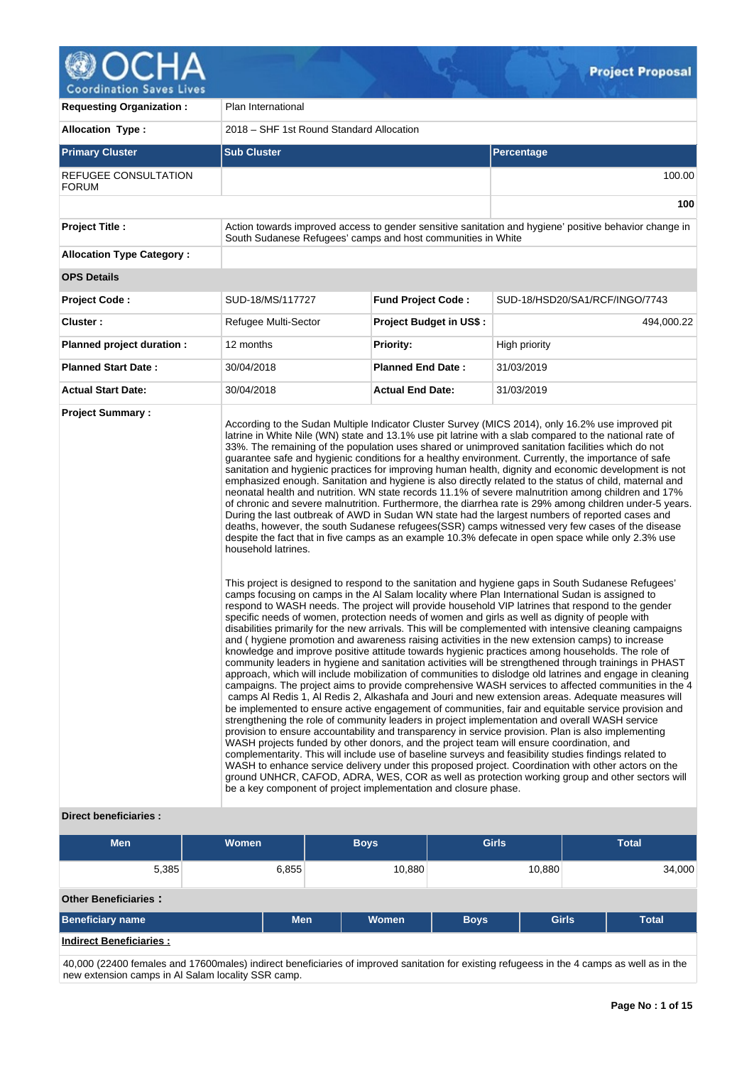

| <b>Requesting Organization:</b>      | Plan International                                                                                                                                                                 |                                |                                                                                                                                                                                                                                                                                                                                                                                                                                                                                                                                                                                                                                                                                                                                                                                                                                                                                                                                                                                                                                                                                                                                                                                                                                                                                                                                                                                                                                                                                                                                                                                                                                                                                                                                                                                                                                                                                                                                                                                                                                                                                                                                                                                                                                                                                                                                                                                                                                                                                                                                                                                                                                                                                                                                                                                                                                                                                                                                                                                   |  |  |  |  |  |
|--------------------------------------|------------------------------------------------------------------------------------------------------------------------------------------------------------------------------------|--------------------------------|-----------------------------------------------------------------------------------------------------------------------------------------------------------------------------------------------------------------------------------------------------------------------------------------------------------------------------------------------------------------------------------------------------------------------------------------------------------------------------------------------------------------------------------------------------------------------------------------------------------------------------------------------------------------------------------------------------------------------------------------------------------------------------------------------------------------------------------------------------------------------------------------------------------------------------------------------------------------------------------------------------------------------------------------------------------------------------------------------------------------------------------------------------------------------------------------------------------------------------------------------------------------------------------------------------------------------------------------------------------------------------------------------------------------------------------------------------------------------------------------------------------------------------------------------------------------------------------------------------------------------------------------------------------------------------------------------------------------------------------------------------------------------------------------------------------------------------------------------------------------------------------------------------------------------------------------------------------------------------------------------------------------------------------------------------------------------------------------------------------------------------------------------------------------------------------------------------------------------------------------------------------------------------------------------------------------------------------------------------------------------------------------------------------------------------------------------------------------------------------------------------------------------------------------------------------------------------------------------------------------------------------------------------------------------------------------------------------------------------------------------------------------------------------------------------------------------------------------------------------------------------------------------------------------------------------------------------------------------------------|--|--|--|--|--|
| <b>Allocation Type:</b>              | 2018 - SHF 1st Round Standard Allocation                                                                                                                                           |                                |                                                                                                                                                                                                                                                                                                                                                                                                                                                                                                                                                                                                                                                                                                                                                                                                                                                                                                                                                                                                                                                                                                                                                                                                                                                                                                                                                                                                                                                                                                                                                                                                                                                                                                                                                                                                                                                                                                                                                                                                                                                                                                                                                                                                                                                                                                                                                                                                                                                                                                                                                                                                                                                                                                                                                                                                                                                                                                                                                                                   |  |  |  |  |  |
| <b>Primary Cluster</b>               | <b>Sub Cluster</b>                                                                                                                                                                 | <b>Percentage</b>              |                                                                                                                                                                                                                                                                                                                                                                                                                                                                                                                                                                                                                                                                                                                                                                                                                                                                                                                                                                                                                                                                                                                                                                                                                                                                                                                                                                                                                                                                                                                                                                                                                                                                                                                                                                                                                                                                                                                                                                                                                                                                                                                                                                                                                                                                                                                                                                                                                                                                                                                                                                                                                                                                                                                                                                                                                                                                                                                                                                                   |  |  |  |  |  |
| REFUGEE CONSULTATION<br><b>FORUM</b> |                                                                                                                                                                                    |                                | 100.00                                                                                                                                                                                                                                                                                                                                                                                                                                                                                                                                                                                                                                                                                                                                                                                                                                                                                                                                                                                                                                                                                                                                                                                                                                                                                                                                                                                                                                                                                                                                                                                                                                                                                                                                                                                                                                                                                                                                                                                                                                                                                                                                                                                                                                                                                                                                                                                                                                                                                                                                                                                                                                                                                                                                                                                                                                                                                                                                                                            |  |  |  |  |  |
|                                      |                                                                                                                                                                                    |                                | 100                                                                                                                                                                                                                                                                                                                                                                                                                                                                                                                                                                                                                                                                                                                                                                                                                                                                                                                                                                                                                                                                                                                                                                                                                                                                                                                                                                                                                                                                                                                                                                                                                                                                                                                                                                                                                                                                                                                                                                                                                                                                                                                                                                                                                                                                                                                                                                                                                                                                                                                                                                                                                                                                                                                                                                                                                                                                                                                                                                               |  |  |  |  |  |
| <b>Project Title:</b>                | South Sudanese Refugees' camps and host communities in White                                                                                                                       |                                | Action towards improved access to gender sensitive sanitation and hygiene' positive behavior change in                                                                                                                                                                                                                                                                                                                                                                                                                                                                                                                                                                                                                                                                                                                                                                                                                                                                                                                                                                                                                                                                                                                                                                                                                                                                                                                                                                                                                                                                                                                                                                                                                                                                                                                                                                                                                                                                                                                                                                                                                                                                                                                                                                                                                                                                                                                                                                                                                                                                                                                                                                                                                                                                                                                                                                                                                                                                            |  |  |  |  |  |
| <b>Allocation Type Category:</b>     |                                                                                                                                                                                    |                                |                                                                                                                                                                                                                                                                                                                                                                                                                                                                                                                                                                                                                                                                                                                                                                                                                                                                                                                                                                                                                                                                                                                                                                                                                                                                                                                                                                                                                                                                                                                                                                                                                                                                                                                                                                                                                                                                                                                                                                                                                                                                                                                                                                                                                                                                                                                                                                                                                                                                                                                                                                                                                                                                                                                                                                                                                                                                                                                                                                                   |  |  |  |  |  |
| <b>OPS Details</b>                   |                                                                                                                                                                                    |                                |                                                                                                                                                                                                                                                                                                                                                                                                                                                                                                                                                                                                                                                                                                                                                                                                                                                                                                                                                                                                                                                                                                                                                                                                                                                                                                                                                                                                                                                                                                                                                                                                                                                                                                                                                                                                                                                                                                                                                                                                                                                                                                                                                                                                                                                                                                                                                                                                                                                                                                                                                                                                                                                                                                                                                                                                                                                                                                                                                                                   |  |  |  |  |  |
| <b>Project Code:</b>                 | SUD-18/MS/117727                                                                                                                                                                   | <b>Fund Project Code:</b>      | SUD-18/HSD20/SA1/RCF/INGO/7743                                                                                                                                                                                                                                                                                                                                                                                                                                                                                                                                                                                                                                                                                                                                                                                                                                                                                                                                                                                                                                                                                                                                                                                                                                                                                                                                                                                                                                                                                                                                                                                                                                                                                                                                                                                                                                                                                                                                                                                                                                                                                                                                                                                                                                                                                                                                                                                                                                                                                                                                                                                                                                                                                                                                                                                                                                                                                                                                                    |  |  |  |  |  |
| Cluster:                             | Refugee Multi-Sector                                                                                                                                                               | <b>Project Budget in US\$:</b> | 494,000.22                                                                                                                                                                                                                                                                                                                                                                                                                                                                                                                                                                                                                                                                                                                                                                                                                                                                                                                                                                                                                                                                                                                                                                                                                                                                                                                                                                                                                                                                                                                                                                                                                                                                                                                                                                                                                                                                                                                                                                                                                                                                                                                                                                                                                                                                                                                                                                                                                                                                                                                                                                                                                                                                                                                                                                                                                                                                                                                                                                        |  |  |  |  |  |
| Planned project duration :           | 12 months                                                                                                                                                                          | <b>Priority:</b>               | High priority                                                                                                                                                                                                                                                                                                                                                                                                                                                                                                                                                                                                                                                                                                                                                                                                                                                                                                                                                                                                                                                                                                                                                                                                                                                                                                                                                                                                                                                                                                                                                                                                                                                                                                                                                                                                                                                                                                                                                                                                                                                                                                                                                                                                                                                                                                                                                                                                                                                                                                                                                                                                                                                                                                                                                                                                                                                                                                                                                                     |  |  |  |  |  |
| <b>Planned Start Date:</b>           | 30/04/2018                                                                                                                                                                         | <b>Planned End Date:</b>       | 31/03/2019                                                                                                                                                                                                                                                                                                                                                                                                                                                                                                                                                                                                                                                                                                                                                                                                                                                                                                                                                                                                                                                                                                                                                                                                                                                                                                                                                                                                                                                                                                                                                                                                                                                                                                                                                                                                                                                                                                                                                                                                                                                                                                                                                                                                                                                                                                                                                                                                                                                                                                                                                                                                                                                                                                                                                                                                                                                                                                                                                                        |  |  |  |  |  |
| <b>Actual Start Date:</b>            | 30/04/2018                                                                                                                                                                         | <b>Actual End Date:</b>        | 31/03/2019                                                                                                                                                                                                                                                                                                                                                                                                                                                                                                                                                                                                                                                                                                                                                                                                                                                                                                                                                                                                                                                                                                                                                                                                                                                                                                                                                                                                                                                                                                                                                                                                                                                                                                                                                                                                                                                                                                                                                                                                                                                                                                                                                                                                                                                                                                                                                                                                                                                                                                                                                                                                                                                                                                                                                                                                                                                                                                                                                                        |  |  |  |  |  |
| <b>Project Summary:</b>              | household latrines.<br>WASH projects funded by other donors, and the project team will ensure coordination, and<br>be a key component of project implementation and closure phase. |                                | According to the Sudan Multiple Indicator Cluster Survey (MICS 2014), only 16.2% use improved pit<br>latrine in White Nile (WN) state and 13.1% use pit latrine with a slab compared to the national rate of<br>33%. The remaining of the population uses shared or unimproved sanitation facilities which do not<br>guarantee safe and hygienic conditions for a healthy environment. Currently, the importance of safe<br>sanitation and hygienic practices for improving human health, dignity and economic development is not<br>emphasized enough. Sanitation and hygiene is also directly related to the status of child, maternal and<br>neonatal health and nutrition. WN state records 11.1% of severe malnutrition among children and 17%<br>of chronic and severe malnutrition. Furthermore, the diarrhea rate is 29% among children under-5 years.<br>During the last outbreak of AWD in Sudan WN state had the largest numbers of reported cases and<br>deaths, however, the south Sudanese refugees(SSR) camps witnessed very few cases of the disease<br>despite the fact that in five camps as an example 10.3% defecate in open space while only 2.3% use<br>This project is designed to respond to the sanitation and hygiene gaps in South Sudanese Refugees'<br>camps focusing on camps in the AI Salam locality where Plan International Sudan is assigned to<br>respond to WASH needs. The project will provide household VIP latrines that respond to the gender<br>specific needs of women, protection needs of women and girls as well as dignity of people with<br>disabilities primarily for the new arrivals. This will be complemented with intensive cleaning campaigns<br>and (hygiene promotion and awareness raising activities in the new extension camps) to increase<br>knowledge and improve positive attitude towards hygienic practices among households. The role of<br>community leaders in hygiene and sanitation activities will be strengthened through trainings in PHAST<br>approach, which will include mobilization of communities to dislodge old latrines and engage in cleaning<br>campaigns. The project aims to provide comprehensive WASH services to affected communities in the 4<br>camps Al Redis 1, Al Redis 2, Alkashafa and Jouri and new extension areas. Adequate measures will<br>be implemented to ensure active engagement of communities, fair and equitable service provision and<br>strengthening the role of community leaders in project implementation and overall WASH service<br>provision to ensure accountability and transparency in service provision. Plan is also implementing<br>complementarity. This will include use of baseline surveys and feasibility studies findings related to<br>WASH to enhance service delivery under this proposed project. Coordination with other actors on the<br>ground UNHCR, CAFOD, ADRA, WES, COR as well as protection working group and other sectors will |  |  |  |  |  |

## **Direct beneficiaries :**

| <b>Men</b>                     | <b>Women</b> | <b>Boys</b> |              | <b>Girls</b> | <b>Total</b> |              |
|--------------------------------|--------------|-------------|--------------|--------------|--------------|--------------|
| 5,385                          | 6,855        |             | 10,880       |              | 10,880       | 34,000       |
| <b>Other Beneficiaries:</b>    |              |             |              |              |              |              |
| <b>Beneficiary name</b>        |              | <b>Men</b>  | <b>Women</b> | <b>Boys</b>  | <b>Girls</b> | <b>Total</b> |
| <b>Indirect Beneficiaries:</b> |              |             |              |              |              |              |

40,000 (22400 females and 17600males) indirect beneficiaries of improved sanitation for existing refugeess in the 4 camps as well as in the new extension camps in Al Salam locality SSR camp.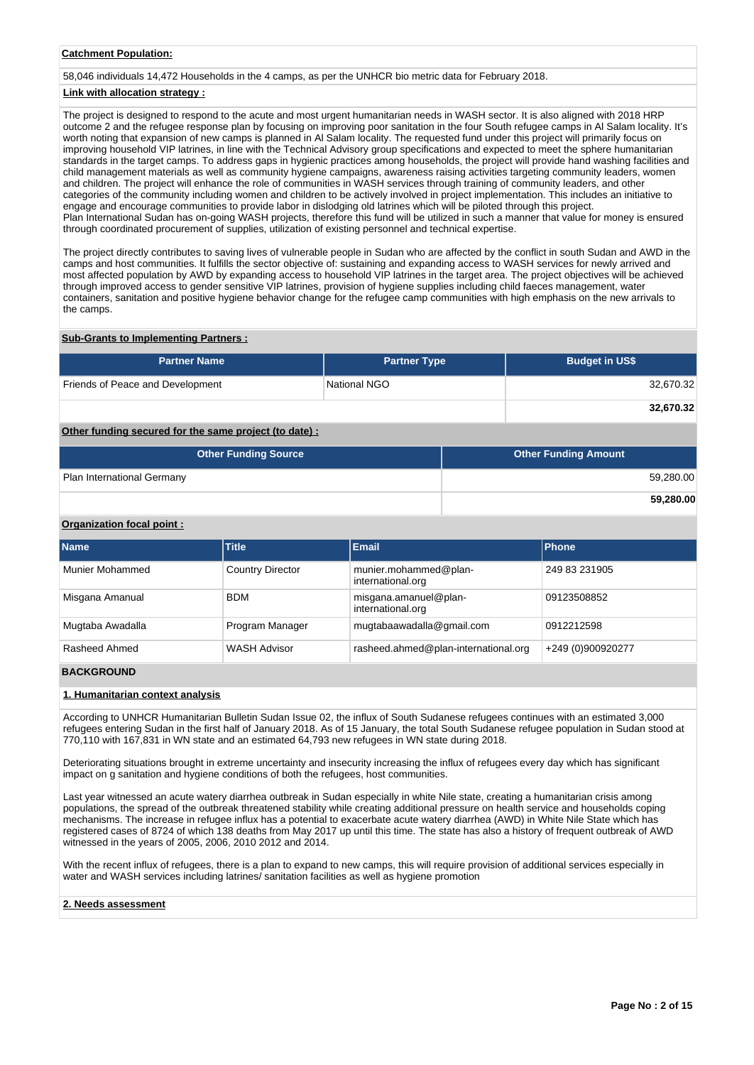## **Catchment Population:**

58,046 individuals 14,472 Households in the 4 camps, as per the UNHCR bio metric data for February 2018.

## **Link with allocation strategy :**

The project is designed to respond to the acute and most urgent humanitarian needs in WASH sector. It is also aligned with 2018 HRP outcome 2 and the refugee response plan by focusing on improving poor sanitation in the four South refugee camps in Al Salam locality. It's worth noting that expansion of new camps is planned in Al Salam locality. The requested fund under this project will primarily focus on improving household VIP latrines, in line with the Technical Advisory group specifications and expected to meet the sphere humanitarian standards in the target camps. To address gaps in hygienic practices among households, the project will provide hand washing facilities and child management materials as well as community hygiene campaigns, awareness raising activities targeting community leaders, women and children. The project will enhance the role of communities in WASH services through training of community leaders, and other categories of the community including women and children to be actively involved in project implementation. This includes an initiative to engage and encourage communities to provide labor in dislodging old latrines which will be piloted through this project. Plan International Sudan has on-going WASH projects, therefore this fund will be utilized in such a manner that value for money is ensured through coordinated procurement of supplies, utilization of existing personnel and technical expertise.

The project directly contributes to saving lives of vulnerable people in Sudan who are affected by the conflict in south Sudan and AWD in the camps and host communities. It fulfills the sector objective of: sustaining and expanding access to WASH services for newly arrived and most affected population by AWD by expanding access to household VIP latrines in the target area. The project objectives will be achieved through improved access to gender sensitive VIP latrines, provision of hygiene supplies including child faeces management, water containers, sanitation and positive hygiene behavior change for the refugee camp communities with high emphasis on the new arrivals to the camps.

### **Sub-Grants to Implementing Partners :**

| <b>Partner Name</b>              | <b>Partner Type</b> | <b>Budget in US\$</b> |
|----------------------------------|---------------------|-----------------------|
| Friends of Peace and Development | National NGO        | 32,670.32             |
|                                  |                     | 32,670.32             |

## **Other funding secured for the same project (to date) :**

| <b>Other Funding Source</b> | <b>Other Funding Amount</b> |
|-----------------------------|-----------------------------|
| Plan International Germany  | 59,280.00                   |
|                             | 59,280.00                   |

## **Organization focal point :**

| <b>Name</b>      | <b>Title</b>            | Email                                      | Phone             |
|------------------|-------------------------|--------------------------------------------|-------------------|
| Munier Mohammed  | <b>Country Director</b> | munier.mohammed@plan-<br>international.org | 249 83 231905     |
| Misgana Amanual  | <b>BDM</b>              | misgana.amanuel@plan-<br>international.org | 09123508852       |
| Mugtaba Awadalla | Program Manager         | mugtabaawadalla@gmail.com                  | 0912212598        |
| Rasheed Ahmed    | <b>WASH Advisor</b>     | rasheed.ahmed@plan-international.org       | +249 (0)900920277 |

## **BACKGROUND**

#### **1. Humanitarian context analysis**

According to UNHCR Humanitarian Bulletin Sudan Issue 02, the influx of South Sudanese refugees continues with an estimated 3,000 refugees entering Sudan in the first half of January 2018. As of 15 January, the total South Sudanese refugee population in Sudan stood at 770,110 with 167,831 in WN state and an estimated 64,793 new refugees in WN state during 2018.

Deteriorating situations brought in extreme uncertainty and insecurity increasing the influx of refugees every day which has significant impact on g sanitation and hygiene conditions of both the refugees, host communities.

Last year witnessed an acute watery diarrhea outbreak in Sudan especially in white Nile state, creating a humanitarian crisis among populations, the spread of the outbreak threatened stability while creating additional pressure on health service and households coping mechanisms. The increase in refugee influx has a potential to exacerbate acute watery diarrhea (AWD) in White Nile State which has registered cases of 8724 of which 138 deaths from May 2017 up until this time. The state has also a history of frequent outbreak of AWD witnessed in the years of 2005, 2006, 2010 2012 and 2014.

With the recent influx of refugees, there is a plan to expand to new camps, this will require provision of additional services especially in water and WASH services including latrines/ sanitation facilities as well as hygiene promotion

## **2. Needs assessment**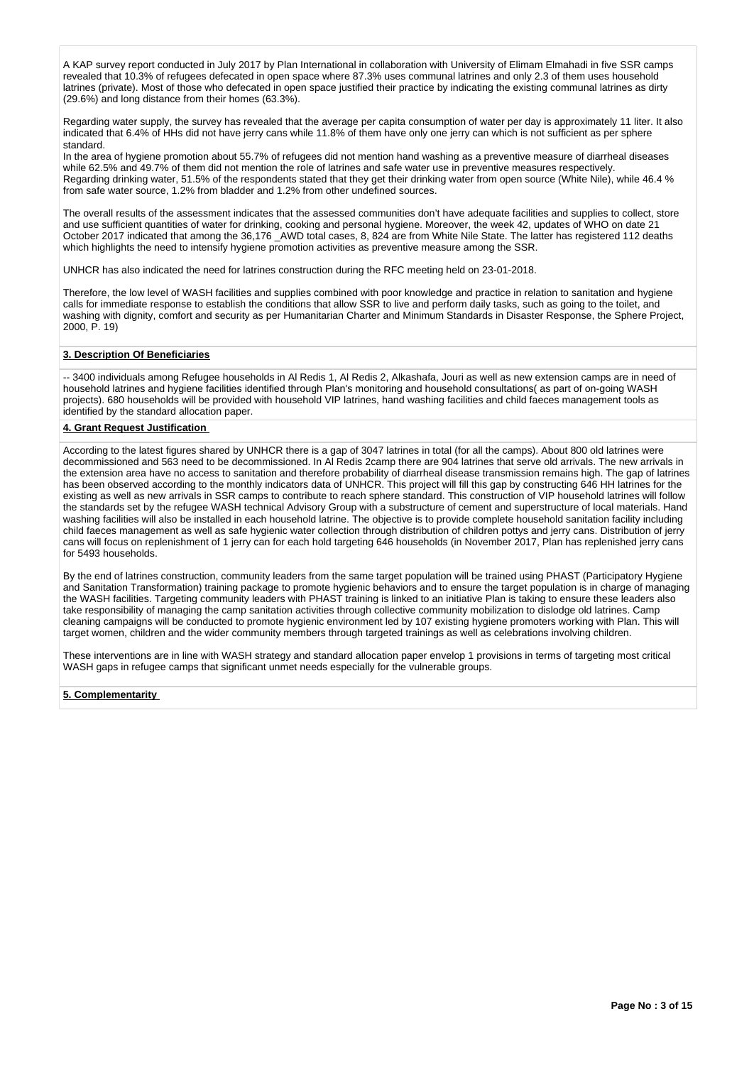A KAP survey report conducted in July 2017 by Plan International in collaboration with University of Elimam Elmahadi in five SSR camps revealed that 10.3% of refugees defecated in open space where 87.3% uses communal latrines and only 2.3 of them uses household latrines (private). Most of those who defecated in open space justified their practice by indicating the existing communal latrines as dirty (29.6%) and long distance from their homes (63.3%).

Regarding water supply, the survey has revealed that the average per capita consumption of water per day is approximately 11 liter. It also indicated that 6.4% of HHs did not have jerry cans while 11.8% of them have only one jerry can which is not sufficient as per sphere standard.

In the area of hygiene promotion about 55.7% of refugees did not mention hand washing as a preventive measure of diarrheal diseases while 62.5% and 49.7% of them did not mention the role of latrines and safe water use in preventive measures respectively. Regarding drinking water, 51.5% of the respondents stated that they get their drinking water from open source (White Nile), while 46.4 % from safe water source, 1.2% from bladder and 1.2% from other undefined sources.

The overall results of the assessment indicates that the assessed communities don't have adequate facilities and supplies to collect, store and use sufficient quantities of water for drinking, cooking and personal hygiene. Moreover, the week 42, updates of WHO on date 21 October 2017 indicated that among the 36,176 AWD total cases, 8, 824 are from White Nile State. The latter has registered 112 deaths which highlights the need to intensify hygiene promotion activities as preventive measure among the SSR.

UNHCR has also indicated the need for latrines construction during the RFC meeting held on 23-01-2018.

Therefore, the low level of WASH facilities and supplies combined with poor knowledge and practice in relation to sanitation and hygiene calls for immediate response to establish the conditions that allow SSR to live and perform daily tasks, such as going to the toilet, and washing with dignity, comfort and security as per Humanitarian Charter and Minimum Standards in Disaster Response, the Sphere Project, 2000, P. 19)

## **3. Description Of Beneficiaries**

-- 3400 individuals among Refugee households in Al Redis 1, Al Redis 2, Alkashafa, Jouri as well as new extension camps are in need of household latrines and hygiene facilities identified through Plan's monitoring and household consultations( as part of on-going WASH projects). 680 households will be provided with household VIP latrines, hand washing facilities and child faeces management tools as identified by the standard allocation paper.

## **4. Grant Request Justification**

According to the latest figures shared by UNHCR there is a gap of 3047 latrines in total (for all the camps). About 800 old latrines were decommissioned and 563 need to be decommissioned. In Al Redis 2camp there are 904 latrines that serve old arrivals. The new arrivals in the extension area have no access to sanitation and therefore probability of diarrheal disease transmission remains high. The gap of latrines has been observed according to the monthly indicators data of UNHCR. This project will fill this gap by constructing 646 HH latrines for the existing as well as new arrivals in SSR camps to contribute to reach sphere standard. This construction of VIP household latrines will follow the standards set by the refugee WASH technical Advisory Group with a substructure of cement and superstructure of local materials. Hand washing facilities will also be installed in each household latrine. The objective is to provide complete household sanitation facility including child faeces management as well as safe hygienic water collection through distribution of children pottys and jerry cans. Distribution of jerry cans will focus on replenishment of 1 jerry can for each hold targeting 646 households (in November 2017, Plan has replenished jerry cans for 5493 households.

By the end of latrines construction, community leaders from the same target population will be trained using PHAST (Participatory Hygiene and Sanitation Transformation) training package to promote hygienic behaviors and to ensure the target population is in charge of managing the WASH facilities. Targeting community leaders with PHAST training is linked to an initiative Plan is taking to ensure these leaders also take responsibility of managing the camp sanitation activities through collective community mobilization to dislodge old latrines. Camp cleaning campaigns will be conducted to promote hygienic environment led by 107 existing hygiene promoters working with Plan. This will target women, children and the wider community members through targeted trainings as well as celebrations involving children.

These interventions are in line with WASH strategy and standard allocation paper envelop 1 provisions in terms of targeting most critical WASH gaps in refugee camps that significant unmet needs especially for the vulnerable groups.

## **5. Complementarity**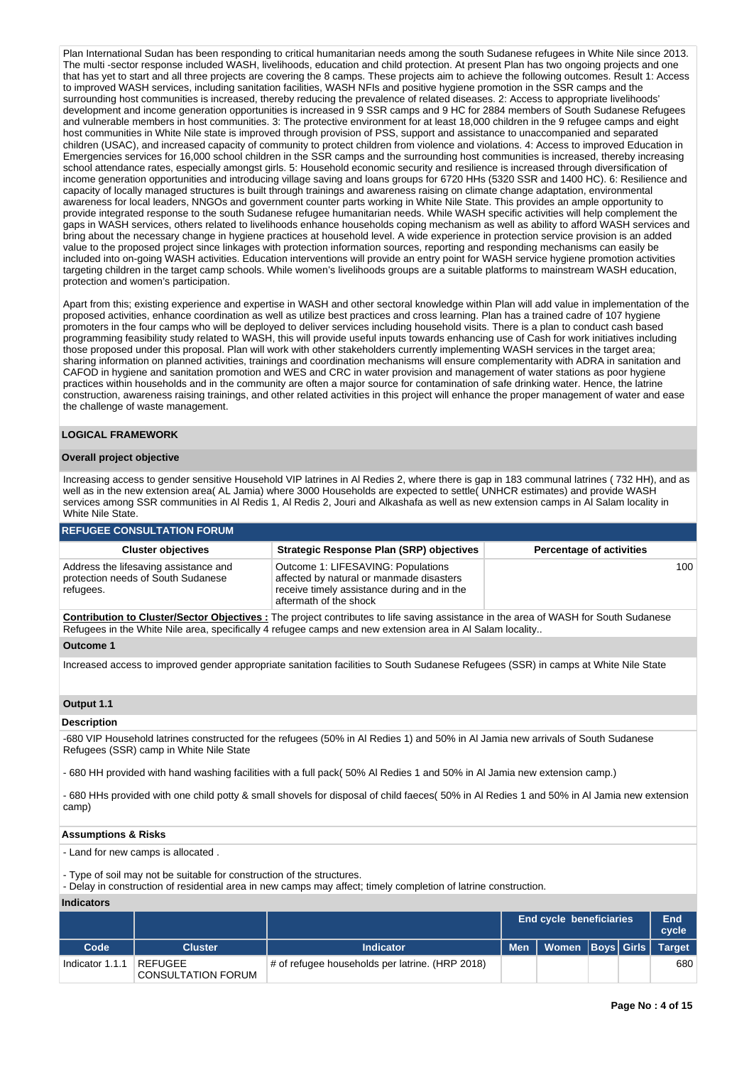Plan International Sudan has been responding to critical humanitarian needs among the south Sudanese refugees in White Nile since 2013. The multi -sector response included WASH, livelihoods, education and child protection. At present Plan has two ongoing projects and one that has yet to start and all three projects are covering the 8 camps. These projects aim to achieve the following outcomes. Result 1: Access to improved WASH services, including sanitation facilities, WASH NFIs and positive hygiene promotion in the SSR camps and the surrounding host communities is increased, thereby reducing the prevalence of related diseases. 2: Access to appropriate livelihoods' development and income generation opportunities is increased in 9 SSR camps and 9 HC for 2884 members of South Sudanese Refugees and vulnerable members in host communities. 3: The protective environment for at least 18,000 children in the 9 refugee camps and eight host communities in White Nile state is improved through provision of PSS, support and assistance to unaccompanied and separated children (USAC), and increased capacity of community to protect children from violence and violations. 4: Access to improved Education in Emergencies services for 16,000 school children in the SSR camps and the surrounding host communities is increased, thereby increasing school attendance rates, especially amongst girls. 5: Household economic security and resilience is increased through diversification of income generation opportunities and introducing village saving and loans groups for 6720 HHs (5320 SSR and 1400 HC). 6: Resilience and capacity of locally managed structures is built through trainings and awareness raising on climate change adaptation, environmental awareness for local leaders, NNGOs and government counter parts working in White Nile State. This provides an ample opportunity to provide integrated response to the south Sudanese refugee humanitarian needs. While WASH specific activities will help complement the gaps in WASH services, others related to livelihoods enhance households coping mechanism as well as ability to afford WASH services and bring about the necessary change in hygiene practices at household level. A wide experience in protection service provision is an added value to the proposed project since linkages with protection information sources, reporting and responding mechanisms can easily be included into on-going WASH activities. Education interventions will provide an entry point for WASH service hygiene promotion activities targeting children in the target camp schools. While women's livelihoods groups are a suitable platforms to mainstream WASH education, protection and women's participation.

Apart from this; existing experience and expertise in WASH and other sectoral knowledge within Plan will add value in implementation of the proposed activities, enhance coordination as well as utilize best practices and cross learning. Plan has a trained cadre of 107 hygiene promoters in the four camps who will be deployed to deliver services including household visits. There is a plan to conduct cash based programming feasibility study related to WASH, this will provide useful inputs towards enhancing use of Cash for work initiatives including those proposed under this proposal. Plan will work with other stakeholders currently implementing WASH services in the target area; sharing information on planned activities, trainings and coordination mechanisms will ensure complementarity with ADRA in sanitation and CAFOD in hygiene and sanitation promotion and WES and CRC in water provision and management of water stations as poor hygiene practices within households and in the community are often a major source for contamination of safe drinking water. Hence, the latrine construction, awareness raising trainings, and other related activities in this project will enhance the proper management of water and ease the challenge of waste management.

## **LOGICAL FRAMEWORK**

#### **Overall project objective**

Increasing access to gender sensitive Household VIP latrines in Al Redies 2, where there is gap in 183 communal latrines ( 732 HH), and as well as in the new extension area( AL Jamia) where 3000 Households are expected to settle( UNHCR estimates) and provide WASH services among SSR communities in Al Redis 1, Al Redis 2, Jouri and Alkashafa as well as new extension camps in Al Salam locality in White Nile State.

### **REFUGEE CONSULTATION FORUM**

| <b>Strategic Response Plan (SRP) objectives</b><br><b>Percentage of activities</b><br><b>Cluster objectives</b>                                                                                                                                     |     |
|-----------------------------------------------------------------------------------------------------------------------------------------------------------------------------------------------------------------------------------------------------|-----|
|                                                                                                                                                                                                                                                     |     |
| Outcome 1: LIFESAVING: Populations<br>Address the lifesaving assistance and<br>protection needs of South Sudanese<br>affected by natural or manmade disasters<br>receive timely assistance during and in the<br>refugees.<br>aftermath of the shock | 100 |

**Contribution to Cluster/Sector Objectives :** The project contributes to life saving assistance in the area of WASH for South Sudanese Refugees in the White Nile area, specifically 4 refugee camps and new extension area in Al Salam locality..

## **Outcome 1**

Increased access to improved gender appropriate sanitation facilities to South Sudanese Refugees (SSR) in camps at White Nile State

## **Output 1.1**

#### **Description**

-680 VIP Household latrines constructed for the refugees (50% in Al Redies 1) and 50% in Al Jamia new arrivals of South Sudanese Refugees (SSR) camp in White Nile State

- 680 HH provided with hand washing facilities with a full pack( 50% Al Redies 1 and 50% in Al Jamia new extension camp.)

- 680 HHs provided with one child potty & small shovels for disposal of child faeces( 50% in Al Redies 1 and 50% in Al Jamia new extension camp)

#### **Assumptions & Risks**

- Land for new camps is allocated .

- Type of soil may not be suitable for construction of the structures.

- Delay in construction of residential area in new camps may affect; timely completion of latrine construction.

**Indicators**

|                   |                                      |                                                 | <b>End cycle beneficiaries</b>        |  | End<br>cycle |
|-------------------|--------------------------------------|-------------------------------------------------|---------------------------------------|--|--------------|
| Code <sup>1</sup> | Cluster                              | Indicator                                       | Men   Women   Boys   Girls   Target 1 |  |              |
| Indicator 1.1.1   | REFUGEE<br><b>CONSULTATION FORUM</b> | # of refugee households per latrine. (HRP 2018) |                                       |  | 680          |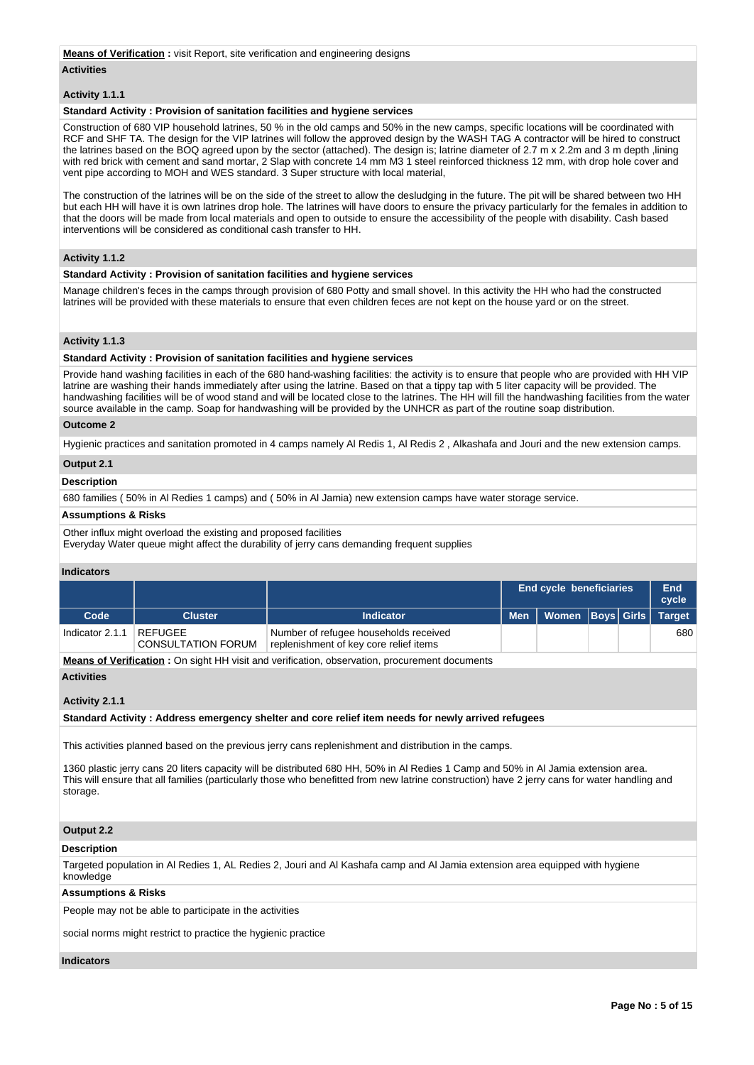#### **Means of Verification :** visit Report, site verification and engineering designs

#### **Activities**

### **Activity 1.1.1**

### **Standard Activity : Provision of sanitation facilities and hygiene services**

Construction of 680 VIP household latrines, 50 % in the old camps and 50% in the new camps, specific locations will be coordinated with RCF and SHF TA. The design for the VIP latrines will follow the approved design by the WASH TAG A contractor will be hired to construct the latrines based on the BOQ agreed upon by the sector (attached). The design is; latrine diameter of 2.7 m x 2.2m and 3 m depth ,lining with red brick with cement and sand mortar, 2 Slap with concrete 14 mm M3 1 steel reinforced thickness 12 mm, with drop hole cover and vent pipe according to MOH and WES standard. 3 Super structure with local material,

The construction of the latrines will be on the side of the street to allow the desludging in the future. The pit will be shared between two HH but each HH will have it is own latrines drop hole. The latrines will have doors to ensure the privacy particularly for the females in addition to that the doors will be made from local materials and open to outside to ensure the accessibility of the people with disability. Cash based interventions will be considered as conditional cash transfer to HH.

### **Activity 1.1.2**

### **Standard Activity : Provision of sanitation facilities and hygiene services**

Manage children's feces in the camps through provision of 680 Potty and small shovel. In this activity the HH who had the constructed latrines will be provided with these materials to ensure that even children feces are not kept on the house yard or on the street.

## **Activity 1.1.3**

### **Standard Activity : Provision of sanitation facilities and hygiene services**

Provide hand washing facilities in each of the 680 hand-washing facilities: the activity is to ensure that people who are provided with HH VIP latrine are washing their hands immediately after using the latrine. Based on that a tippy tap with 5 liter capacity will be provided. The handwashing facilities will be of wood stand and will be located close to the latrines. The HH will fill the handwashing facilities from the water source available in the camp. Soap for handwashing will be provided by the UNHCR as part of the routine soap distribution.

## **Outcome 2**

Hygienic practices and sanitation promoted in 4 camps namely Al Redis 1, Al Redis 2 , Alkashafa and Jouri and the new extension camps.

### **Output 2.1**

## **Description**

680 families ( 50% in Al Redies 1 camps) and ( 50% in Al Jamia) new extension camps have water storage service.

#### **Assumptions & Risks**

Other influx might overload the existing and proposed facilities

Everyday Water queue might affect the durability of jerry cans demanding frequent supplies

### **Indicators**

|                 |                                      |                                                                                 |            | End cycle beneficiaries |  | End<br>cycle  |
|-----------------|--------------------------------------|---------------------------------------------------------------------------------|------------|-------------------------|--|---------------|
| Code            | <b>Cluster</b>                       | <b>Indicator</b>                                                                | <b>Men</b> | Women   Boys   Girls    |  | <b>Target</b> |
| Indicator 2.1.1 | REFUGEE<br><b>CONSULTATION FORUM</b> | Number of refugee households received<br>replenishment of key core relief items |            |                         |  | 680           |

**Means of Verification :** On sight HH visit and verification, observation, procurement documents

#### **Activities**

### **Activity 2.1.1**

**Standard Activity : Address emergency shelter and core relief item needs for newly arrived refugees**

This activities planned based on the previous jerry cans replenishment and distribution in the camps.

1360 plastic jerry cans 20 liters capacity will be distributed 680 HH, 50% in Al Redies 1 Camp and 50% in Al Jamia extension area. This will ensure that all families (particularly those who benefitted from new latrine construction) have 2 jerry cans for water handling and storage.

## **Output 2.2**

#### **Description**

Targeted population in Al Redies 1, AL Redies 2, Jouri and Al Kashafa camp and Al Jamia extension area equipped with hygiene knowledge

## **Assumptions & Risks**

People may not be able to participate in the activities

social norms might restrict to practice the hygienic practice

#### **Indicators**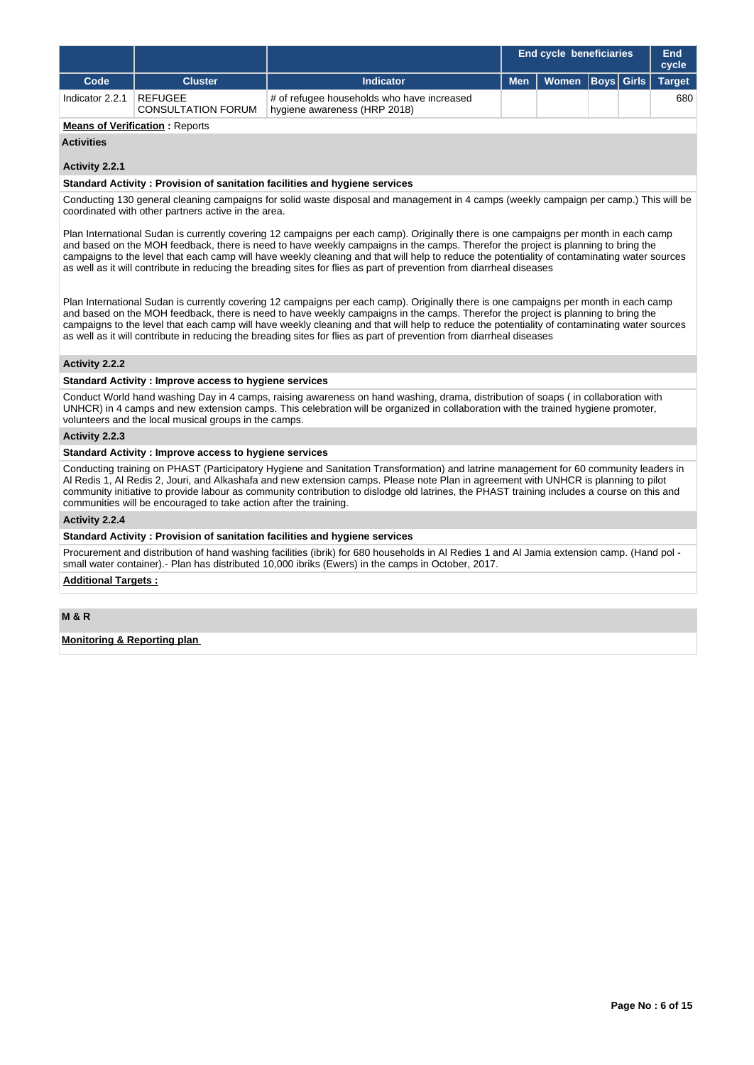|                 |                                      |                                                                            |            | <b>End cycle beneficiaries</b> |  | End<br>cycle  |
|-----------------|--------------------------------------|----------------------------------------------------------------------------|------------|--------------------------------|--|---------------|
| Code            | <b>Cluster</b>                       | <b>Indicator</b>                                                           | <b>Men</b> | Women  Boys  Girls             |  | <b>Target</b> |
| Indicator 2.2.1 | REFUGEE<br><b>CONSULTATION FORUM</b> | # of refugee households who have increased<br>hygiene awareness (HRP 2018) |            |                                |  | 680           |

## **Means of Verification: Reports**

## **Activities**

## **Activity 2.2.1**

#### **Standard Activity : Provision of sanitation facilities and hygiene services**

Conducting 130 general cleaning campaigns for solid waste disposal and management in 4 camps (weekly campaign per camp.) This will be coordinated with other partners active in the area.

Plan International Sudan is currently covering 12 campaigns per each camp). Originally there is one campaigns per month in each camp and based on the MOH feedback, there is need to have weekly campaigns in the camps. Therefor the project is planning to bring the campaigns to the level that each camp will have weekly cleaning and that will help to reduce the potentiality of contaminating water sources as well as it will contribute in reducing the breading sites for flies as part of prevention from diarrheal diseases

Plan International Sudan is currently covering 12 campaigns per each camp). Originally there is one campaigns per month in each camp and based on the MOH feedback, there is need to have weekly campaigns in the camps. Therefor the project is planning to bring the campaigns to the level that each camp will have weekly cleaning and that will help to reduce the potentiality of contaminating water sources as well as it will contribute in reducing the breading sites for flies as part of prevention from diarrheal diseases

### **Activity 2.2.2**

## **Standard Activity : Improve access to hygiene services**

Conduct World hand washing Day in 4 camps, raising awareness on hand washing, drama, distribution of soaps ( in collaboration with UNHCR) in 4 camps and new extension camps. This celebration will be organized in collaboration with the trained hygiene promoter, volunteers and the local musical groups in the camps.

## **Activity 2.2.3**

## **Standard Activity : Improve access to hygiene services**

Conducting training on PHAST (Participatory Hygiene and Sanitation Transformation) and latrine management for 60 community leaders in Al Redis 1, Al Redis 2, Jouri, and Alkashafa and new extension camps. Please note Plan in agreement with UNHCR is planning to pilot community initiative to provide labour as community contribution to dislodge old latrines, the PHAST training includes a course on this and communities will be encouraged to take action after the training.

## **Activity 2.2.4**

### **Standard Activity : Provision of sanitation facilities and hygiene services**

Procurement and distribution of hand washing facilities (ibrik) for 680 households in Al Redies 1 and Al Jamia extension camp. (Hand pol small water container).- Plan has distributed 10,000 ibriks (Ewers) in the camps in October, 2017.

## **Additional Targets :**

**M & R**

## **Monitoring & Reporting plan**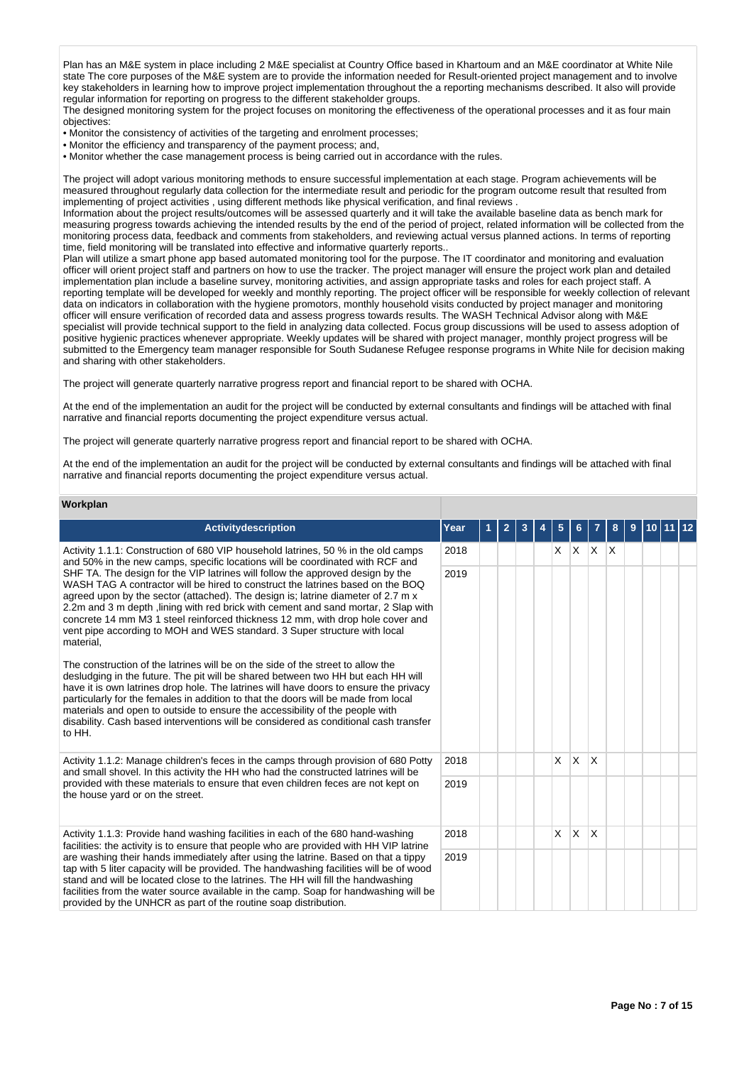Plan has an M&E system in place including 2 M&E specialist at Country Office based in Khartoum and an M&E coordinator at White Nile state The core purposes of the M&E system are to provide the information needed for Result-oriented project management and to involve key stakeholders in learning how to improve project implementation throughout the a reporting mechanisms described. It also will provide regular information for reporting on progress to the different stakeholder groups.

The designed monitoring system for the project focuses on monitoring the effectiveness of the operational processes and it as four main objectives:

- Monitor the consistency of activities of the targeting and enrolment processes:
- Monitor the efficiency and transparency of the payment process; and,
- Monitor whether the case management process is being carried out in accordance with the rules.

The project will adopt various monitoring methods to ensure successful implementation at each stage. Program achievements will be measured throughout regularly data collection for the intermediate result and periodic for the program outcome result that resulted from implementing of project activities , using different methods like physical verification, and final reviews .

Information about the project results/outcomes will be assessed quarterly and it will take the available baseline data as bench mark for measuring progress towards achieving the intended results by the end of the period of project, related information will be collected from the monitoring process data, feedback and comments from stakeholders, and reviewing actual versus planned actions. In terms of reporting time, field monitoring will be translated into effective and informative quarterly reports..

Plan will utilize a smart phone app based automated monitoring tool for the purpose. The IT coordinator and monitoring and evaluation officer will orient project staff and partners on how to use the tracker. The project manager will ensure the project work plan and detailed implementation plan include a baseline survey, monitoring activities, and assign appropriate tasks and roles for each project staff. A reporting template will be developed for weekly and monthly reporting. The project officer will be responsible for weekly collection of relevant data on indicators in collaboration with the hygiene promotors, monthly household visits conducted by project manager and monitoring officer will ensure verification of recorded data and assess progress towards results. The WASH Technical Advisor along with M&E specialist will provide technical support to the field in analyzing data collected. Focus group discussions will be used to assess adoption of positive hygienic practices whenever appropriate. Weekly updates will be shared with project manager, monthly project progress will be submitted to the Emergency team manager responsible for South Sudanese Refugee response programs in White Nile for decision making and sharing with other stakeholders.

The project will generate quarterly narrative progress report and financial report to be shared with OCHA.

At the end of the implementation an audit for the project will be conducted by external consultants and findings will be attached with final narrative and financial reports documenting the project expenditure versus actual.

The project will generate quarterly narrative progress report and financial report to be shared with OCHA.

At the end of the implementation an audit for the project will be conducted by external consultants and findings will be attached with final narrative and financial reports documenting the project expenditure versus actual.

## **Workplan**

| <b>Activitydescription</b>                                                                                                                                                                                                                                                                                                                                                                                                                                                                                                           | Year | 2 |  | 5 | 6        |     | 8   | 9 | 10. |  |
|--------------------------------------------------------------------------------------------------------------------------------------------------------------------------------------------------------------------------------------------------------------------------------------------------------------------------------------------------------------------------------------------------------------------------------------------------------------------------------------------------------------------------------------|------|---|--|---|----------|-----|-----|---|-----|--|
| Activity 1.1.1: Construction of 680 VIP household latrines, 50 % in the old camps<br>and 50% in the new camps, specific locations will be coordinated with RCF and                                                                                                                                                                                                                                                                                                                                                                   | 2018 |   |  | X | X        | ΙX. | ΙX. |   |     |  |
| SHF TA. The design for the VIP latrines will follow the approved design by the<br>WASH TAG A contractor will be hired to construct the latrines based on the BOQ<br>agreed upon by the sector (attached). The design is; latrine diameter of 2.7 m x<br>2.2m and 3 m depth, lining with red brick with cement and sand mortar, 2 Slap with<br>concrete 14 mm M3 1 steel reinforced thickness 12 mm, with drop hole cover and<br>vent pipe according to MOH and WES standard. 3 Super structure with local<br>material,               | 2019 |   |  |   |          |     |     |   |     |  |
| The construction of the latrines will be on the side of the street to allow the<br>desludging in the future. The pit will be shared between two HH but each HH will<br>have it is own latrines drop hole. The latrines will have doors to ensure the privacy<br>particularly for the females in addition to that the doors will be made from local<br>materials and open to outside to ensure the accessibility of the people with<br>disability. Cash based interventions will be considered as conditional cash transfer<br>to HH. |      |   |  |   |          |     |     |   |     |  |
| Activity 1.1.2: Manage children's feces in the camps through provision of 680 Potty<br>and small shovel. In this activity the HH who had the constructed latrines will be                                                                                                                                                                                                                                                                                                                                                            | 2018 |   |  | X | X        | X   |     |   |     |  |
| provided with these materials to ensure that even children feces are not kept on<br>the house yard or on the street.                                                                                                                                                                                                                                                                                                                                                                                                                 | 2019 |   |  |   |          |     |     |   |     |  |
| Activity 1.1.3: Provide hand washing facilities in each of the 680 hand-washing<br>facilities: the activity is to ensure that people who are provided with HH VIP latrine                                                                                                                                                                                                                                                                                                                                                            | 2018 |   |  | X | $\times$ | X   |     |   |     |  |
| are washing their hands immediately after using the latrine. Based on that a tippy<br>tap with 5 liter capacity will be provided. The handwashing facilities will be of wood<br>stand and will be located close to the latrines. The HH will fill the handwashing<br>facilities from the water source available in the camp. Soap for handwashing will be<br>provided by the UNHCR as part of the routine soap distribution.                                                                                                         | 2019 |   |  |   |          |     |     |   |     |  |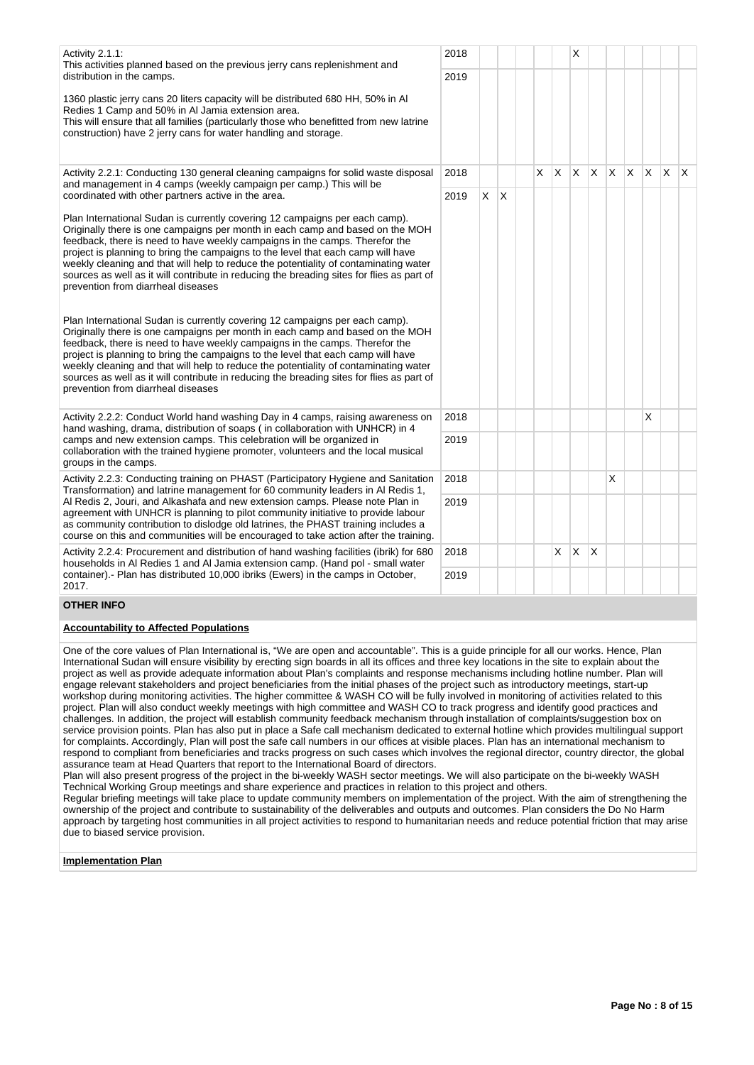| Activity 2.1.1:<br>This activities planned based on the previous jerry cans replenishment and<br>distribution in the camps.                                                                                                                                                                                                                                                                                                                                                                                                                                | 2018<br>2019 |    |   |   |    | X |              |   |          |   |    |          |
|------------------------------------------------------------------------------------------------------------------------------------------------------------------------------------------------------------------------------------------------------------------------------------------------------------------------------------------------------------------------------------------------------------------------------------------------------------------------------------------------------------------------------------------------------------|--------------|----|---|---|----|---|--------------|---|----------|---|----|----------|
| 1360 plastic jerry cans 20 liters capacity will be distributed 680 HH, 50% in Al<br>Redies 1 Camp and 50% in AI Jamia extension area.<br>This will ensure that all families (particularly those who benefitted from new latrine<br>construction) have 2 jerry cans for water handling and storage.                                                                                                                                                                                                                                                         |              |    |   |   |    |   |              |   |          |   |    |          |
| Activity 2.2.1: Conducting 130 general cleaning campaigns for solid waste disposal<br>and management in 4 camps (weekly campaign per camp.) This will be                                                                                                                                                                                                                                                                                                                                                                                                   | 2018         |    |   | X | X  | X | X            | X | <b>X</b> | X | X. | <b>X</b> |
| coordinated with other partners active in the area.                                                                                                                                                                                                                                                                                                                                                                                                                                                                                                        | 2019         | X. | X |   |    |   |              |   |          |   |    |          |
| Plan International Sudan is currently covering 12 campaigns per each camp).<br>Originally there is one campaigns per month in each camp and based on the MOH<br>feedback, there is need to have weekly campaigns in the camps. Therefor the<br>project is planning to bring the campaigns to the level that each camp will have<br>weekly cleaning and that will help to reduce the potentiality of contaminating water<br>sources as well as it will contribute in reducing the breading sites for flies as part of<br>prevention from diarrheal diseases |              |    |   |   |    |   |              |   |          |   |    |          |
| Plan International Sudan is currently covering 12 campaigns per each camp).<br>Originally there is one campaigns per month in each camp and based on the MOH<br>feedback, there is need to have weekly campaigns in the camps. Therefor the<br>project is planning to bring the campaigns to the level that each camp will have<br>weekly cleaning and that will help to reduce the potentiality of contaminating water<br>sources as well as it will contribute in reducing the breading sites for flies as part of<br>prevention from diarrheal diseases |              |    |   |   |    |   |              |   |          |   |    |          |
| Activity 2.2.2: Conduct World hand washing Day in 4 camps, raising awareness on<br>hand washing, drama, distribution of soaps (in collaboration with UNHCR) in 4                                                                                                                                                                                                                                                                                                                                                                                           | 2018         |    |   |   |    |   |              |   |          | X |    |          |
| camps and new extension camps. This celebration will be organized in<br>collaboration with the trained hygiene promoter, volunteers and the local musical<br>groups in the camps.                                                                                                                                                                                                                                                                                                                                                                          | 2019         |    |   |   |    |   |              |   |          |   |    |          |
| Activity 2.2.3: Conducting training on PHAST (Participatory Hygiene and Sanitation<br>Transformation) and latrine management for 60 community leaders in Al Redis 1,                                                                                                                                                                                                                                                                                                                                                                                       | 2018         |    |   |   |    |   |              | X |          |   |    |          |
| Al Redis 2, Jouri, and Alkashafa and new extension camps. Please note Plan in<br>agreement with UNHCR is planning to pilot community initiative to provide labour<br>as community contribution to dislodge old latrines, the PHAST training includes a<br>course on this and communities will be encouraged to take action after the training.                                                                                                                                                                                                             | 2019         |    |   |   |    |   |              |   |          |   |    |          |
| Activity 2.2.4: Procurement and distribution of hand washing facilities (ibrik) for 680<br>households in Al Redies 1 and Al Jamia extension camp. (Hand pol - small water                                                                                                                                                                                                                                                                                                                                                                                  | 2018         |    |   |   | X. | X | <sup>X</sup> |   |          |   |    |          |
| container).- Plan has distributed 10,000 ibriks (Ewers) in the camps in October,<br>2017.                                                                                                                                                                                                                                                                                                                                                                                                                                                                  | 2019         |    |   |   |    |   |              |   |          |   |    |          |
| <b>OTHER INFO</b>                                                                                                                                                                                                                                                                                                                                                                                                                                                                                                                                          |              |    |   |   |    |   |              |   |          |   |    |          |
| <b>Accountability to Affected Populations</b>                                                                                                                                                                                                                                                                                                                                                                                                                                                                                                              |              |    |   |   |    |   |              |   |          |   |    |          |

One of the core values of Plan International is, "We are open and accountable". This is a guide principle for all our works. Hence, Plan International Sudan will ensure visibility by erecting sign boards in all its offices and three key locations in the site to explain about the project as well as provide adequate information about Plan's complaints and response mechanisms including hotline number. Plan will engage relevant stakeholders and project beneficiaries from the initial phases of the project such as introductory meetings, start-up workshop during monitoring activities. The higher committee & WASH CO will be fully involved in monitoring of activities related to this project. Plan will also conduct weekly meetings with high committee and WASH CO to track progress and identify good practices and challenges. In addition, the project will establish community feedback mechanism through installation of complaints/suggestion box on service provision points. Plan has also put in place a Safe call mechanism dedicated to external hotline which provides multilingual support for complaints. Accordingly, Plan will post the safe call numbers in our offices at visible places. Plan has an international mechanism to respond to compliant from beneficiaries and tracks progress on such cases which involves the regional director, country director, the global assurance team at Head Quarters that report to the International Board of directors.

Plan will also present progress of the project in the bi-weekly WASH sector meetings. We will also participate on the bi-weekly WASH Technical Working Group meetings and share experience and practices in relation to this project and others.

Regular briefing meetings will take place to update community members on implementation of the project. With the aim of strengthening the ownership of the project and contribute to sustainability of the deliverables and outputs and outcomes. Plan considers the Do No Harm approach by targeting host communities in all project activities to respond to humanitarian needs and reduce potential friction that may arise due to biased service provision.

## **Implementation Plan**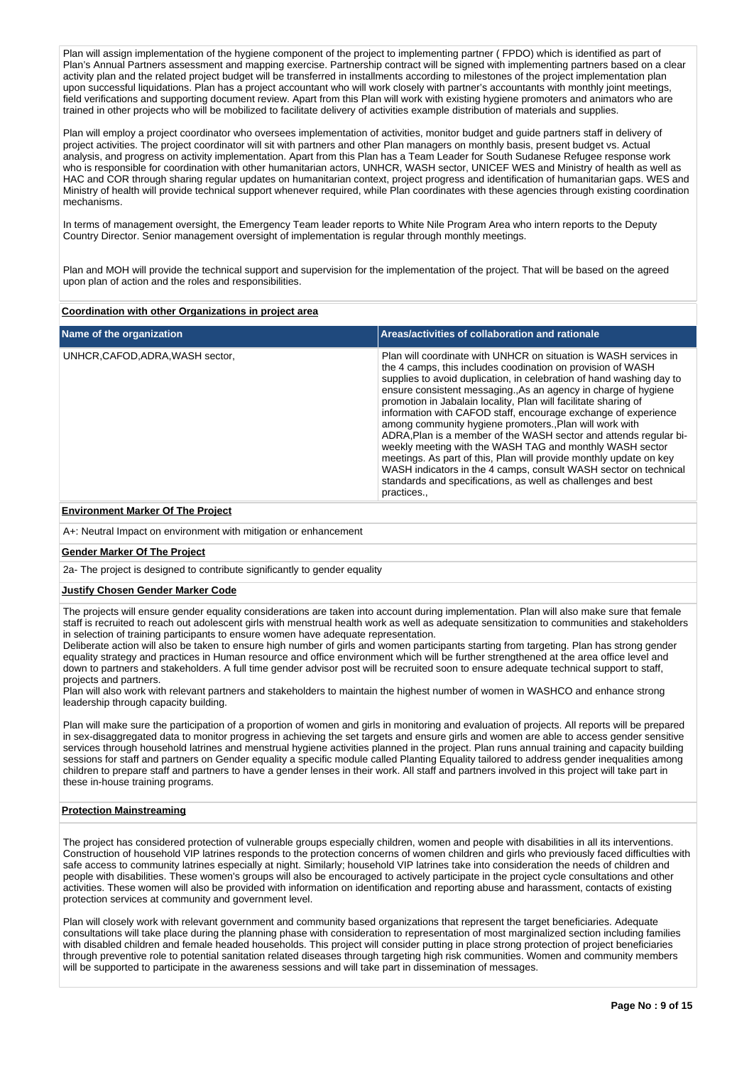Plan will assign implementation of the hygiene component of the project to implementing partner ( FPDO) which is identified as part of Plan's Annual Partners assessment and mapping exercise. Partnership contract will be signed with implementing partners based on a clear activity plan and the related project budget will be transferred in installments according to milestones of the project implementation plan upon successful liquidations. Plan has a project accountant who will work closely with partner's accountants with monthly joint meetings, field verifications and supporting document review. Apart from this Plan will work with existing hygiene promoters and animators who are trained in other projects who will be mobilized to facilitate delivery of activities example distribution of materials and supplies.

Plan will employ a project coordinator who oversees implementation of activities, monitor budget and guide partners staff in delivery of project activities. The project coordinator will sit with partners and other Plan managers on monthly basis, present budget vs. Actual analysis, and progress on activity implementation. Apart from this Plan has a Team Leader for South Sudanese Refugee response work who is responsible for coordination with other humanitarian actors, UNHCR, WASH sector, UNICEF WES and Ministry of health as well as HAC and COR through sharing regular updates on humanitarian context, project progress and identification of humanitarian gaps. WES and Ministry of health will provide technical support whenever required, while Plan coordinates with these agencies through existing coordination mechanisms.

In terms of management oversight, the Emergency Team leader reports to White Nile Program Area who intern reports to the Deputy Country Director. Senior management oversight of implementation is regular through monthly meetings.

Plan and MOH will provide the technical support and supervision for the implementation of the project. That will be based on the agreed upon plan of action and the roles and responsibilities.

## **Coordination with other Organizations in project area**

| Name of the organization         | Areas/activities of collaboration and rationale                                                                                                                                                                                                                                                                                                                                                                                                                                                                                                                                                                                                                                                                                                                                                                                   |
|----------------------------------|-----------------------------------------------------------------------------------------------------------------------------------------------------------------------------------------------------------------------------------------------------------------------------------------------------------------------------------------------------------------------------------------------------------------------------------------------------------------------------------------------------------------------------------------------------------------------------------------------------------------------------------------------------------------------------------------------------------------------------------------------------------------------------------------------------------------------------------|
| UNHCR, CAFOD, ADRA, WASH sector, | Plan will coordinate with UNHCR on situation is WASH services in<br>the 4 camps, this includes coodination on provision of WASH<br>supplies to avoid duplication, in celebration of hand washing day to<br>ensure consistent messaging. As an agency in charge of hygiene<br>promotion in Jabalain locality, Plan will facilitate sharing of<br>information with CAFOD staff, encourage exchange of experience<br>among community hygiene promoters., Plan will work with<br>ADRA, Plan is a member of the WASH sector and attends regular bi-<br>weekly meeting with the WASH TAG and monthly WASH sector<br>meetings. As part of this, Plan will provide monthly update on key<br>WASH indicators in the 4 camps, consult WASH sector on technical<br>standards and specifications, as well as challenges and best<br>practices |

## **Environment Marker Of The Project**

A+: Neutral Impact on environment with mitigation or enhancement

#### **Gender Marker Of The Project**

2a- The project is designed to contribute significantly to gender equality

## **Justify Chosen Gender Marker Code**

The projects will ensure gender equality considerations are taken into account during implementation. Plan will also make sure that female staff is recruited to reach out adolescent girls with menstrual health work as well as adequate sensitization to communities and stakeholders in selection of training participants to ensure women have adequate representation.

Deliberate action will also be taken to ensure high number of girls and women participants starting from targeting. Plan has strong gender equality strategy and practices in Human resource and office environment which will be further strengthened at the area office level and down to partners and stakeholders. A full time gender advisor post will be recruited soon to ensure adequate technical support to staff, projects and partners.

Plan will also work with relevant partners and stakeholders to maintain the highest number of women in WASHCO and enhance strong leadership through capacity building.

Plan will make sure the participation of a proportion of women and girls in monitoring and evaluation of projects. All reports will be prepared in sex-disaggregated data to monitor progress in achieving the set targets and ensure girls and women are able to access gender sensitive services through household latrines and menstrual hygiene activities planned in the project. Plan runs annual training and capacity building sessions for staff and partners on Gender equality a specific module called Planting Equality tailored to address gender inequalities among children to prepare staff and partners to have a gender lenses in their work. All staff and partners involved in this project will take part in these in-house training programs.

## **Protection Mainstreaming**

The project has considered protection of vulnerable groups especially children, women and people with disabilities in all its interventions. Construction of household VIP latrines responds to the protection concerns of women children and girls who previously faced difficulties with safe access to community latrines especially at night. Similarly; household VIP latrines take into consideration the needs of children and people with disabilities. These women's groups will also be encouraged to actively participate in the project cycle consultations and other activities. These women will also be provided with information on identification and reporting abuse and harassment, contacts of existing protection services at community and government level.

Plan will closely work with relevant government and community based organizations that represent the target beneficiaries. Adequate consultations will take place during the planning phase with consideration to representation of most marginalized section including families with disabled children and female headed households. This project will consider putting in place strong protection of project beneficiaries through preventive role to potential sanitation related diseases through targeting high risk communities. Women and community members will be supported to participate in the awareness sessions and will take part in dissemination of messages.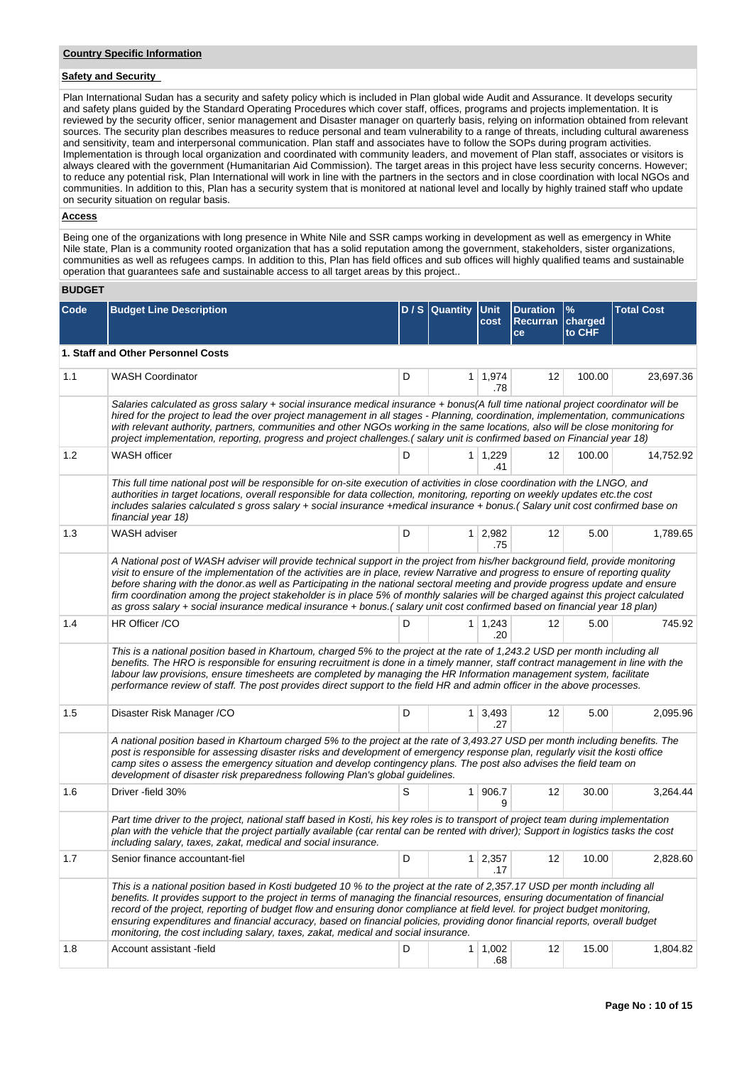## **Safety and Security**

Plan International Sudan has a security and safety policy which is included in Plan global wide Audit and Assurance. It develops security and safety plans guided by the Standard Operating Procedures which cover staff, offices, programs and projects implementation. It is reviewed by the security officer, senior management and Disaster manager on quarterly basis, relying on information obtained from relevant sources. The security plan describes measures to reduce personal and team vulnerability to a range of threats, including cultural awareness and sensitivity, team and interpersonal communication. Plan staff and associates have to follow the SOPs during program activities. Implementation is through local organization and coordinated with community leaders, and movement of Plan staff, associates or visitors is always cleared with the government (Humanitarian Aid Commission). The target areas in this project have less security concerns. However; to reduce any potential risk, Plan International will work in line with the partners in the sectors and in close coordination with local NGOs and communities. In addition to this, Plan has a security system that is monitored at national level and locally by highly trained staff who update on security situation on regular basis.

## **Access**

Being one of the organizations with long presence in White Nile and SSR camps working in development as well as emergency in White Nile state, Plan is a community rooted organization that has a solid reputation among the government, stakeholders, sister organizations, communities as well as refugees camps. In addition to this, Plan has field offices and sub offices will highly qualified teams and sustainable operation that guarantees safe and sustainable access to all target areas by this project..

### **BUDGET**

| Code | <b>Budget Line Description</b>                                                                                                                                                                                                                                                                                                                                                                                                                                                                                                                                                                                                                                             |   | D / S Quantity | Unit<br>cost          | <b>Duration</b><br><b>Recurran</b><br>ce | $\frac{9}{6}$<br>charged<br>to CHF | <b>Total Cost</b> |  |
|------|----------------------------------------------------------------------------------------------------------------------------------------------------------------------------------------------------------------------------------------------------------------------------------------------------------------------------------------------------------------------------------------------------------------------------------------------------------------------------------------------------------------------------------------------------------------------------------------------------------------------------------------------------------------------------|---|----------------|-----------------------|------------------------------------------|------------------------------------|-------------------|--|
|      | 1. Staff and Other Personnel Costs                                                                                                                                                                                                                                                                                                                                                                                                                                                                                                                                                                                                                                         |   |                |                       |                                          |                                    |                   |  |
| 1.1  | <b>WASH Coordinator</b>                                                                                                                                                                                                                                                                                                                                                                                                                                                                                                                                                                                                                                                    | D |                | $1 \mid 1,974$<br>.78 | 12                                       | 100.00                             | 23,697.36         |  |
|      | Salaries calculated as gross salary + social insurance medical insurance + bonus(A full time national project coordinator will be<br>hired for the project to lead the over project management in all stages - Planning, coordination, implementation, communications<br>with relevant authority, partners, communities and other NGOs working in the same locations, also will be close monitoring for<br>project implementation, reporting, progress and project challenges. (salary unit is confirmed based on Financial year 18)                                                                                                                                       |   |                |                       |                                          |                                    |                   |  |
| 1.2  | <b>WASH</b> officer                                                                                                                                                                                                                                                                                                                                                                                                                                                                                                                                                                                                                                                        | D |                | $1 \mid 1,229$<br>.41 | 12                                       | 100.00                             | 14,752.92         |  |
|      | This full time national post will be responsible for on-site execution of activities in close coordination with the LNGO, and<br>authorities in target locations, overall responsible for data collection, monitoring, reporting on weekly updates etc.the cost<br>includes salaries calculated s gross salary + social insurance +medical insurance + bonus.(Salary unit cost confirmed base on<br>financial year 18)                                                                                                                                                                                                                                                     |   |                |                       |                                          |                                    |                   |  |
| 1.3  | WASH adviser                                                                                                                                                                                                                                                                                                                                                                                                                                                                                                                                                                                                                                                               | D |                | $1 \mid 2,982$<br>.75 | 12                                       | 5.00                               | 1,789.65          |  |
|      | A National post of WASH adviser will provide technical support in the project from his/her background field, provide monitoring<br>visit to ensure of the implementation of the activities are in place, review Narrative and progress to ensure of reporting quality<br>before sharing with the donor as well as Participating in the national sectoral meeting and provide progress update and ensure<br>firm coordination among the project stakeholder is in place 5% of monthly salaries will be charged against this project calculated<br>as gross salary + social insurance medical insurance + bonus.(salary unit cost confirmed based on financial year 18 plan) |   |                |                       |                                          |                                    |                   |  |
| 1.4  | HR Officer /CO                                                                                                                                                                                                                                                                                                                                                                                                                                                                                                                                                                                                                                                             | D |                | $1 \mid 1,243$<br>.20 | 12                                       | 5.00                               | 745.92            |  |
|      | This is a national position based in Khartoum, charged 5% to the project at the rate of 1,243.2 USD per month including all<br>benefits. The HRO is responsible for ensuring recruitment is done in a timely manner, staff contract management in line with the<br>labour law provisions, ensure timesheets are completed by managing the HR Information management system, facilitate<br>performance review of staff. The post provides direct support to the field HR and admin officer in the above processes.                                                                                                                                                          |   |                |                       |                                          |                                    |                   |  |
| 1.5  | Disaster Risk Manager /CO                                                                                                                                                                                                                                                                                                                                                                                                                                                                                                                                                                                                                                                  | D |                | $1 \mid 3,493$<br>.27 | 12                                       | 5.00                               | 2,095.96          |  |
|      | A national position based in Khartoum charged 5% to the project at the rate of 3,493.27 USD per month including benefits. The<br>post is responsible for assessing disaster risks and development of emergency response plan, regularly visit the kosti office<br>camp sites o assess the emergency situation and develop contingency plans. The post also advises the field team on<br>development of disaster risk preparedness following Plan's global guidelines.                                                                                                                                                                                                      |   |                |                       |                                          |                                    |                   |  |
| 1.6  | Driver -field 30%                                                                                                                                                                                                                                                                                                                                                                                                                                                                                                                                                                                                                                                          | S |                | 1 906.7<br>9          | 12                                       | 30.00                              | 3.264.44          |  |
|      | Part time driver to the project, national staff based in Kosti, his key roles is to transport of project team during implementation<br>plan with the vehicle that the project partially available (car rental can be rented with driver); Support in logistics tasks the cost<br>including salary, taxes, zakat, medical and social insurance.                                                                                                                                                                                                                                                                                                                             |   |                |                       |                                          |                                    |                   |  |
| 1.7  | Senior finance accountant-fiel                                                                                                                                                                                                                                                                                                                                                                                                                                                                                                                                                                                                                                             | D |                | $1 \mid 2,357$<br>.17 | 12                                       | 10.00                              | 2,828.60          |  |
|      | This is a national position based in Kosti budgeted 10 % to the project at the rate of 2,357.17 USD per month including all<br>benefits. It provides support to the project in terms of managing the financial resources, ensuring documentation of financial<br>record of the project, reporting of budget flow and ensuring donor compliance at field level. for project budget monitoring,<br>ensuring expenditures and financial accuracy, based on financial policies, providing donor financial reports, overall budget<br>monitoring, the cost including salary, taxes, zakat, medical and social insurance.                                                        |   |                |                       |                                          |                                    |                   |  |
| 1.8  | Account assistant -field                                                                                                                                                                                                                                                                                                                                                                                                                                                                                                                                                                                                                                                   | D |                | $1 \mid 1,002$<br>.68 | 12                                       | 15.00                              | 1,804.82          |  |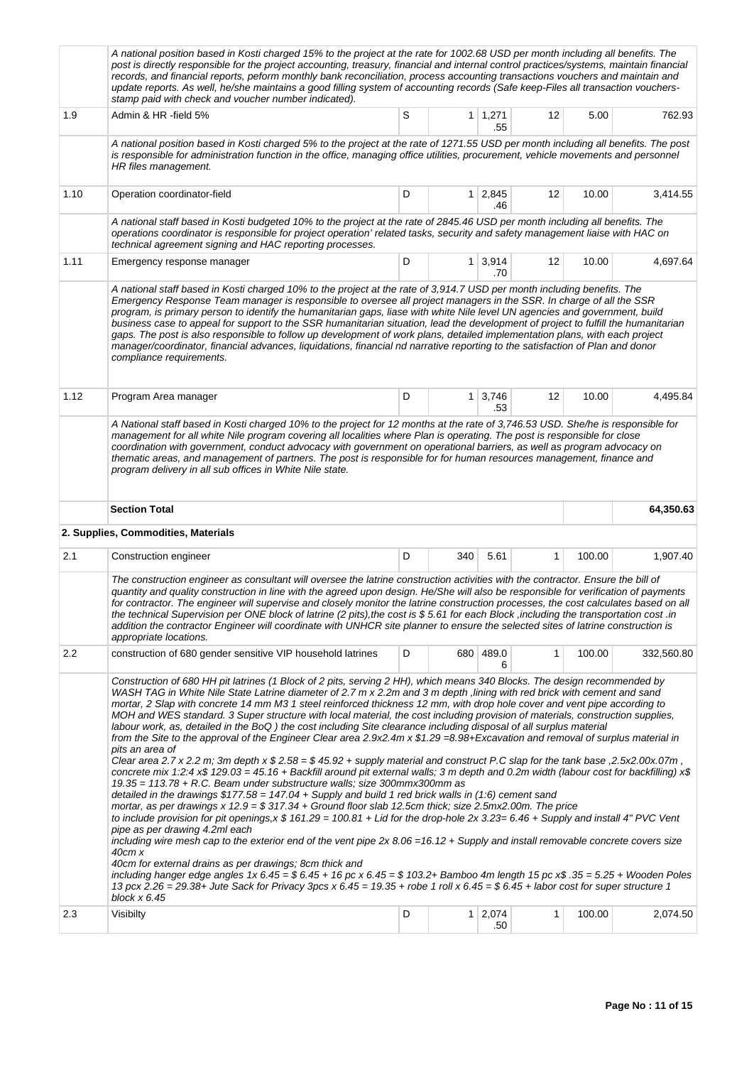|      | A national position based in Kosti charged 15% to the project at the rate for 1002.68 USD per month including all benefits. The<br>post is directly responsible for the project accounting, treasury, financial and internal control practices/systems, maintain financial<br>records, and financial reports, peform monthly bank reconciliation, process accounting transactions vouchers and maintain and<br>update reports. As well, he/she maintains a good filling system of accounting records (Safe keep-Files all transaction vouchers-<br>stamp paid with check and voucher number indicated).                                                                                                                                                                                                                                                                                                                                                                                                                                                                                                                                                                                                                                                                                                                                                                                                                                                                                                                                                                                                                                                                                                                                                                                                                                                                                               |   |     |                       |    |        |            |  |
|------|-------------------------------------------------------------------------------------------------------------------------------------------------------------------------------------------------------------------------------------------------------------------------------------------------------------------------------------------------------------------------------------------------------------------------------------------------------------------------------------------------------------------------------------------------------------------------------------------------------------------------------------------------------------------------------------------------------------------------------------------------------------------------------------------------------------------------------------------------------------------------------------------------------------------------------------------------------------------------------------------------------------------------------------------------------------------------------------------------------------------------------------------------------------------------------------------------------------------------------------------------------------------------------------------------------------------------------------------------------------------------------------------------------------------------------------------------------------------------------------------------------------------------------------------------------------------------------------------------------------------------------------------------------------------------------------------------------------------------------------------------------------------------------------------------------------------------------------------------------------------------------------------------------|---|-----|-----------------------|----|--------|------------|--|
| 1.9  | Admin & HR -field 5%                                                                                                                                                                                                                                                                                                                                                                                                                                                                                                                                                                                                                                                                                                                                                                                                                                                                                                                                                                                                                                                                                                                                                                                                                                                                                                                                                                                                                                                                                                                                                                                                                                                                                                                                                                                                                                                                                  | S |     | $1 \mid 1,271$<br>.55 | 12 | 5.00   | 762.93     |  |
|      | A national position based in Kosti charged 5% to the project at the rate of 1271.55 USD per month including all benefits. The post<br>is responsible for administration function in the office, managing office utilities, procurement, vehicle movements and personnel<br>HR files management.                                                                                                                                                                                                                                                                                                                                                                                                                                                                                                                                                                                                                                                                                                                                                                                                                                                                                                                                                                                                                                                                                                                                                                                                                                                                                                                                                                                                                                                                                                                                                                                                       |   |     |                       |    |        |            |  |
| 1.10 | Operation coordinator-field                                                                                                                                                                                                                                                                                                                                                                                                                                                                                                                                                                                                                                                                                                                                                                                                                                                                                                                                                                                                                                                                                                                                                                                                                                                                                                                                                                                                                                                                                                                                                                                                                                                                                                                                                                                                                                                                           | D |     | $1 \mid 2,845$<br>.46 | 12 | 10.00  | 3,414.55   |  |
|      | A national staff based in Kosti budgeted 10% to the project at the rate of 2845.46 USD per month including all benefits. The<br>operations coordinator is responsible for project operation' related tasks, security and safety management liaise with HAC on<br>technical agreement signing and HAC reporting processes.                                                                                                                                                                                                                                                                                                                                                                                                                                                                                                                                                                                                                                                                                                                                                                                                                                                                                                                                                                                                                                                                                                                                                                                                                                                                                                                                                                                                                                                                                                                                                                             |   |     |                       |    |        |            |  |
| 1.11 | Emergency response manager                                                                                                                                                                                                                                                                                                                                                                                                                                                                                                                                                                                                                                                                                                                                                                                                                                                                                                                                                                                                                                                                                                                                                                                                                                                                                                                                                                                                                                                                                                                                                                                                                                                                                                                                                                                                                                                                            | D |     | $1 \mid 3,914$<br>.70 | 12 | 10.00  | 4,697.64   |  |
|      | A national staff based in Kosti charged 10% to the project at the rate of 3,914.7 USD per month including benefits. The<br>Emergency Response Team manager is responsible to oversee all project managers in the SSR. In charge of all the SSR<br>program, is primary person to identify the humanitarian gaps, liase with white Nile level UN agencies and government, build<br>business case to appeal for support to the SSR humanitarian situation, lead the development of project to fulfill the humanitarian<br>gaps. The post is also responsible to follow up development of work plans, detailed implementation plans, with each project<br>manager/coordinator, financial advances, liquidations, financial nd narrative reporting to the satisfaction of Plan and donor<br>compliance requirements.                                                                                                                                                                                                                                                                                                                                                                                                                                                                                                                                                                                                                                                                                                                                                                                                                                                                                                                                                                                                                                                                                       |   |     |                       |    |        |            |  |
| 1.12 | Program Area manager                                                                                                                                                                                                                                                                                                                                                                                                                                                                                                                                                                                                                                                                                                                                                                                                                                                                                                                                                                                                                                                                                                                                                                                                                                                                                                                                                                                                                                                                                                                                                                                                                                                                                                                                                                                                                                                                                  | D |     | $1 \mid 3,746$<br>.53 | 12 | 10.00  | 4,495.84   |  |
|      | management for all white Nile program covering all localities where Plan is operating. The post is responsible for close<br>coordination with government, conduct advocacy with government on operational barriers, as well as program advocacy on<br>thematic areas, and management of partners. The post is responsible for for human resources management, finance and<br>program delivery in all sub offices in White Nile state.                                                                                                                                                                                                                                                                                                                                                                                                                                                                                                                                                                                                                                                                                                                                                                                                                                                                                                                                                                                                                                                                                                                                                                                                                                                                                                                                                                                                                                                                 |   |     |                       |    |        |            |  |
|      | <b>Section Total</b>                                                                                                                                                                                                                                                                                                                                                                                                                                                                                                                                                                                                                                                                                                                                                                                                                                                                                                                                                                                                                                                                                                                                                                                                                                                                                                                                                                                                                                                                                                                                                                                                                                                                                                                                                                                                                                                                                  |   |     |                       |    |        | 64,350.63  |  |
| 2.1  | 2. Supplies, Commodities, Materials<br>Construction engineer                                                                                                                                                                                                                                                                                                                                                                                                                                                                                                                                                                                                                                                                                                                                                                                                                                                                                                                                                                                                                                                                                                                                                                                                                                                                                                                                                                                                                                                                                                                                                                                                                                                                                                                                                                                                                                          | D | 340 | 5.61                  | 1  | 100.00 | 1,907.40   |  |
|      | The construction engineer as consultant will oversee the latrine construction activities with the contractor. Ensure the bill of<br>quantity and quality construction in line with the agreed upon design. He/She will also be responsible for verification of payments<br>for contractor. The engineer will supervise and closely monitor the latrine construction processes, the cost calculates based on all<br>the technical Supervision per ONE block of latrine (2 pits),the cost is \$5.61 for each Block ,including the transportation cost .in<br>addition the contractor Engineer will coordinate with UNHCR site planner to ensure the selected sites of latrine construction is<br>appropriate locations.                                                                                                                                                                                                                                                                                                                                                                                                                                                                                                                                                                                                                                                                                                                                                                                                                                                                                                                                                                                                                                                                                                                                                                                 |   |     |                       |    |        |            |  |
| 2.2  | construction of 680 gender sensitive VIP household latrines                                                                                                                                                                                                                                                                                                                                                                                                                                                                                                                                                                                                                                                                                                                                                                                                                                                                                                                                                                                                                                                                                                                                                                                                                                                                                                                                                                                                                                                                                                                                                                                                                                                                                                                                                                                                                                           | D |     | 680 489.0<br>6        | 1  | 100.00 | 332,560.80 |  |
|      | Construction of 680 HH pit latrines (1 Block of 2 pits, serving 2 HH), which means 340 Blocks. The design recommended by<br>WASH TAG in White Nile State Latrine diameter of 2.7 m x 2.2m and 3 m depth ,lining with red brick with cement and sand<br>mortar, 2 Slap with concrete 14 mm M3 1 steel reinforced thickness 12 mm, with drop hole cover and vent pipe according to<br>MOH and WES standard. 3 Super structure with local material, the cost including provision of materials, construction supplies,<br>labour work, as, detailed in the BoQ) the cost including Site clearance including disposal of all surplus material<br>from the Site to the approval of the Engineer Clear area 2.9x2.4m x \$1.29 =8.98+Excavation and removal of surplus material in<br>pits an area of<br>Clear area 2.7 x 2.2 m; 3m depth x $$2.58 = $45.92 + {supply material and construct P.C slag for the tank base, 2.5x2.00x.07m,$<br>concrete mix 1:2:4 x\$ 129.03 = 45.16 + Backfill around pit external walls; 3 m depth and 0.2m width (labour cost for backfilling) x\$<br>$19.35 = 113.78 + R.C.$ Beam under substructure walls; size 300mmx300mm as<br>detailed in the drawings $$177.58 = 147.04 +$ Supply and build 1 red brick walls in (1:6) cement sand<br>mortar, as per drawings x $12.9 = $317.34 + Ground$ floor slab 12.5cm thick; size 2.5mx2.00m. The price<br>to include provision for pit openings,x \$ 161.29 = 100.81 + Lid for the drop-hole 2x 3.23= 6.46 + Supply and install 4" PVC Vent<br>pipe as per drawing 4.2ml each<br>including wire mesh cap to the exterior end of the vent pipe $2x 8.06 = 16.12 +$ Supply and install removable concrete covers size<br>40ст х<br>40cm for external drains as per drawings; 8cm thick and<br>including hanger edge angles $1x 6.45 = $ 6.45 + 16$ pc x $6.45 = $ 103.2 +$ Bamboo 4m length $15$ pc x\$ .35 = 5.25 + Wooden Poles |   |     |                       |    |        |            |  |
| 2.3  | 13 pcx 2.26 = 29.38+ Jute Sack for Privacy 3pcs x 6.45 = 19.35 + robe 1 roll x 6.45 = \$ 6.45 + labor cost for super structure 1<br>block x 6.45<br>Visibilty                                                                                                                                                                                                                                                                                                                                                                                                                                                                                                                                                                                                                                                                                                                                                                                                                                                                                                                                                                                                                                                                                                                                                                                                                                                                                                                                                                                                                                                                                                                                                                                                                                                                                                                                         | D |     | $1 \mid 2,074$        | 1  | 100.00 | 2,074.50   |  |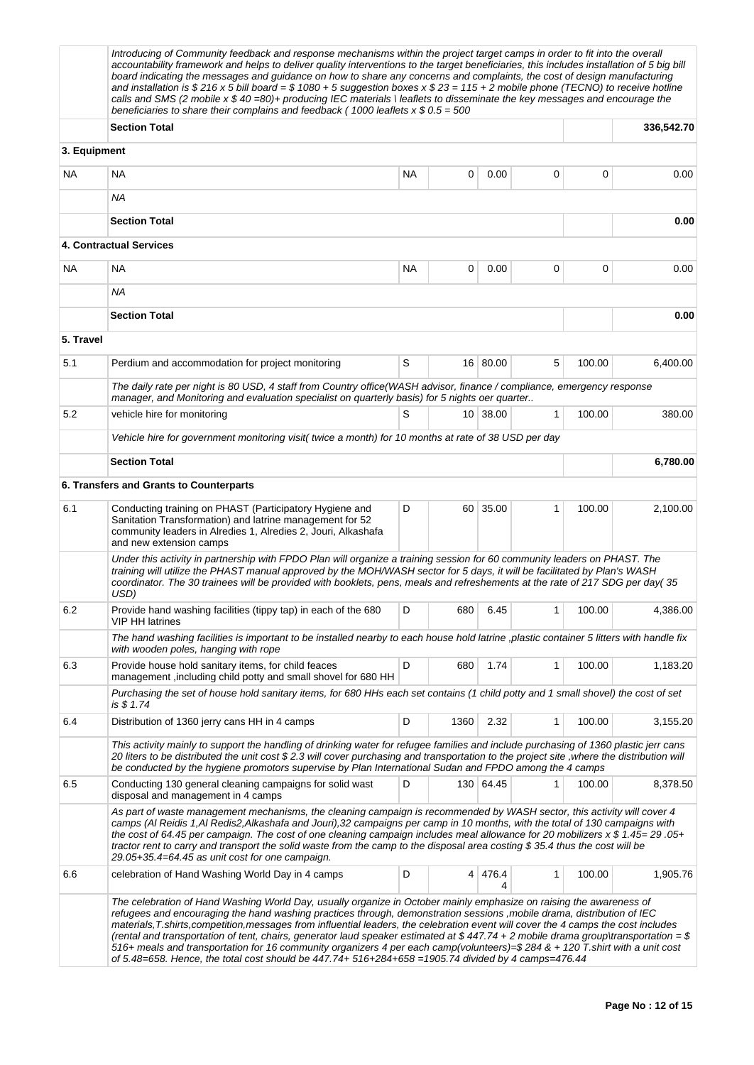|              | Introducing of Community feedback and response mechanisms within the project target camps in order to fit into the overall<br>accountability framework and helps to deliver quality interventions to the target beneficiaries, this includes installation of 5 big bill<br>board indicating the messages and guidance on how to share any concerns and complaints, the cost of design manufacturing<br>and installation is \$ 216 x 5 bill board = \$ 1080 + 5 suggestion boxes x \$ 23 = 115 + 2 mobile phone (TECNO) to receive hotline<br>calls and SMS (2 mobile $x $ 40 = 80$ )+ producing IEC materials \leaflets to disseminate the key messages and encourage the<br>beneficiaries to share their complains and feedback (1000 leaflets $x $ 0.5 = 500$       |    |      |              |              |        |            |
|--------------|-----------------------------------------------------------------------------------------------------------------------------------------------------------------------------------------------------------------------------------------------------------------------------------------------------------------------------------------------------------------------------------------------------------------------------------------------------------------------------------------------------------------------------------------------------------------------------------------------------------------------------------------------------------------------------------------------------------------------------------------------------------------------|----|------|--------------|--------------|--------|------------|
|              | <b>Section Total</b>                                                                                                                                                                                                                                                                                                                                                                                                                                                                                                                                                                                                                                                                                                                                                  |    |      |              |              |        | 336,542.70 |
| 3. Equipment |                                                                                                                                                                                                                                                                                                                                                                                                                                                                                                                                                                                                                                                                                                                                                                       |    |      |              |              |        |            |
| <b>NA</b>    | NA                                                                                                                                                                                                                                                                                                                                                                                                                                                                                                                                                                                                                                                                                                                                                                    | NA | 0    | 0.00         | 0            | 0      | 0.00       |
|              | ΝA                                                                                                                                                                                                                                                                                                                                                                                                                                                                                                                                                                                                                                                                                                                                                                    |    |      |              |              |        |            |
|              | <b>Section Total</b>                                                                                                                                                                                                                                                                                                                                                                                                                                                                                                                                                                                                                                                                                                                                                  |    |      |              |              |        | 0.00       |
|              | 4. Contractual Services                                                                                                                                                                                                                                                                                                                                                                                                                                                                                                                                                                                                                                                                                                                                               |    |      |              |              |        |            |
| <b>NA</b>    | <b>NA</b>                                                                                                                                                                                                                                                                                                                                                                                                                                                                                                                                                                                                                                                                                                                                                             | ΝA | 0    | 0.00         | 0            | 0      | 0.00       |
|              | ΝA                                                                                                                                                                                                                                                                                                                                                                                                                                                                                                                                                                                                                                                                                                                                                                    |    |      |              |              |        |            |
|              | <b>Section Total</b>                                                                                                                                                                                                                                                                                                                                                                                                                                                                                                                                                                                                                                                                                                                                                  |    |      |              |              |        | 0.00       |
| 5. Travel    |                                                                                                                                                                                                                                                                                                                                                                                                                                                                                                                                                                                                                                                                                                                                                                       |    |      |              |              |        |            |
| 5.1          | Perdium and accommodation for project monitoring                                                                                                                                                                                                                                                                                                                                                                                                                                                                                                                                                                                                                                                                                                                      | S  |      | 16 80.00     | 5            | 100.00 | 6,400.00   |
|              | The daily rate per night is 80 USD, 4 staff from Country office (WASH advisor, finance / compliance, emergency response<br>manager, and Monitoring and evaluation specialist on quarterly basis) for 5 nights oer quarter                                                                                                                                                                                                                                                                                                                                                                                                                                                                                                                                             |    |      |              |              |        |            |
| 5.2          | vehicle hire for monitoring                                                                                                                                                                                                                                                                                                                                                                                                                                                                                                                                                                                                                                                                                                                                           | S  |      | 10 38.00     | 1            | 100.00 | 380.00     |
|              | Vehicle hire for government monitoring visit( twice a month) for 10 months at rate of 38 USD per day                                                                                                                                                                                                                                                                                                                                                                                                                                                                                                                                                                                                                                                                  |    |      |              |              |        |            |
|              | <b>Section Total</b>                                                                                                                                                                                                                                                                                                                                                                                                                                                                                                                                                                                                                                                                                                                                                  |    |      |              |              |        | 6,780.00   |
|              | 6. Transfers and Grants to Counterparts                                                                                                                                                                                                                                                                                                                                                                                                                                                                                                                                                                                                                                                                                                                               |    |      |              |              |        |            |
| 6.1          | Conducting training on PHAST (Participatory Hygiene and<br>Sanitation Transformation) and latrine management for 52<br>community leaders in Alredies 1, Alredies 2, Jouri, Alkashafa<br>and new extension camps                                                                                                                                                                                                                                                                                                                                                                                                                                                                                                                                                       | D  |      | 60 35.00     | 1            | 100.00 | 2,100.00   |
|              | Under this activity in partnership with FPDO Plan will organize a training session for 60 community leaders on PHAST. The<br>training will utilize the PHAST manual approved by the MOH/WASH sector for 5 days, it will be facilitated by Plan's WASH<br>coordinator. The 30 trainees will be provided with booklets, pens, meals and refreshements at the rate of 217 SDG per day(35<br>USD)                                                                                                                                                                                                                                                                                                                                                                         |    |      |              |              |        |            |
| 6.2          | Provide hand washing facilities (tippy tap) in each of the 680<br>VIP HH latrines                                                                                                                                                                                                                                                                                                                                                                                                                                                                                                                                                                                                                                                                                     | D  | 680  | 6.45         | 1            | 100.00 | 4,386.00   |
|              | The hand washing facilities is important to be installed nearby to each house hold latrine ,plastic container 5 litters with handle fix<br>with wooden poles, hanging with rope                                                                                                                                                                                                                                                                                                                                                                                                                                                                                                                                                                                       |    |      |              |              |        |            |
| 6.3          | Provide house hold sanitary items, for child feaces<br>management, including child potty and small shovel for 680 HH                                                                                                                                                                                                                                                                                                                                                                                                                                                                                                                                                                                                                                                  | D  | 680  | 1.74         | 1            | 100.00 | 1,183.20   |
|              | Purchasing the set of house hold sanitary items, for 680 HHs each set contains (1 child potty and 1 small shovel) the cost of set<br>is \$ 1.74                                                                                                                                                                                                                                                                                                                                                                                                                                                                                                                                                                                                                       |    |      |              |              |        |            |
| 6.4          | Distribution of 1360 jerry cans HH in 4 camps                                                                                                                                                                                                                                                                                                                                                                                                                                                                                                                                                                                                                                                                                                                         | D  | 1360 | 2.32         | $\mathbf{1}$ | 100.00 | 3,155.20   |
|              | This activity mainly to support the handling of drinking water for refugee families and include purchasing of 1360 plastic jerr cans<br>20 liters to be distributed the unit cost \$2.3 will cover purchasing and transportation to the project site ,where the distribution will<br>be conducted by the hygiene promotors supervise by Plan International Sudan and FPDO among the 4 camps                                                                                                                                                                                                                                                                                                                                                                           |    |      |              |              |        |            |
| 6.5          | Conducting 130 general cleaning campaigns for solid wast<br>disposal and management in 4 camps                                                                                                                                                                                                                                                                                                                                                                                                                                                                                                                                                                                                                                                                        | D  |      | 130 64.45    | 1            | 100.00 | 8,378.50   |
|              | As part of waste management mechanisms, the cleaning campaign is recommended by WASH sector, this activity will cover 4<br>camps (AI Reidis 1, AI Redis2, Alkashafa and Jouri), 32 campaigns per camp in 10 months, with the total of 130 campaigns with<br>the cost of 64.45 per campaign. The cost of one cleaning campaign includes meal allowance for 20 mobilizers x \$ 1.45= 29.05+<br>tractor rent to carry and transport the solid waste from the camp to the disposal area costing \$35.4 thus the cost will be<br>29.05+35.4=64.45 as unit cost for one campaign.                                                                                                                                                                                           |    |      |              |              |        |            |
| 6.6          | celebration of Hand Washing World Day in 4 camps                                                                                                                                                                                                                                                                                                                                                                                                                                                                                                                                                                                                                                                                                                                      | D  |      | 4 476.4<br>Δ | 1            | 100.00 | 1,905.76   |
|              | The celebration of Hand Washing World Day, usually organize in October mainly emphasize on raising the awareness of<br>refugees and encouraging the hand washing practices through, demonstration sessions , mobile drama, distribution of IEC<br>materials, T.shirts,competition,messages from influential leaders, the celebration event will cover the 4 camps the cost includes<br>(rental and transportation of tent, chairs, generator laud speaker estimated at \$447.74 + 2 mobile drama group\transportation = \$<br>516+ meals and transportation for 16 community organizers 4 per each camp(volunteers)=\$284 & + 120 T.shirt with a unit cost<br>of 5.48=658. Hence, the total cost should be $447.74 + 516+284+658 = 1905.74$ divided by 4 camps=476.44 |    |      |              |              |        |            |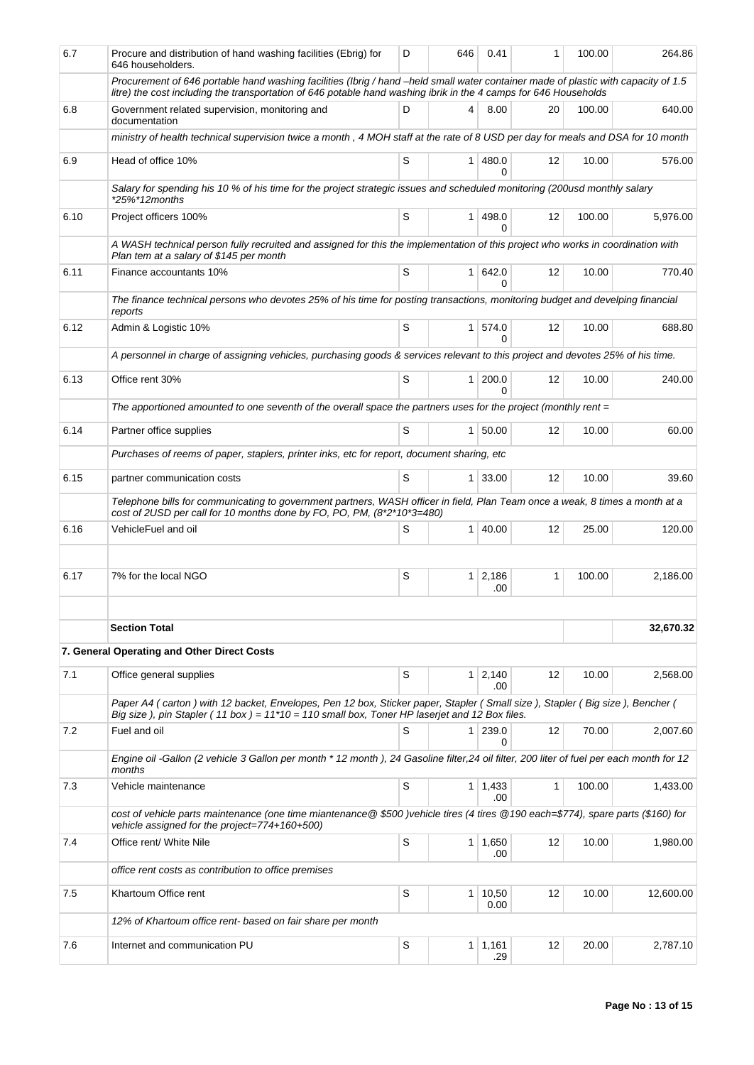| 6.7  | Procure and distribution of hand washing facilities (Ebrig) for<br>646 householders.                                                                                                                                                                   | D | 646            | 0.41                  | 1                 | 100.00 | 264.86    |
|------|--------------------------------------------------------------------------------------------------------------------------------------------------------------------------------------------------------------------------------------------------------|---|----------------|-----------------------|-------------------|--------|-----------|
|      | Procurement of 646 portable hand washing facilities (Ibrig / hand -held small water container made of plastic with capacity of 1.5<br>litre) the cost including the transportation of 646 potable hand washing ibrik in the 4 camps for 646 Households |   |                |                       |                   |        |           |
| 6.8  | Government related supervision, monitoring and<br>documentation                                                                                                                                                                                        | D | 4              | 8.00                  | 20                | 100.00 | 640.00    |
|      | ministry of health technical supervision twice a month, 4 MOH staff at the rate of 8 USD per day for meals and DSA for 10 month                                                                                                                        |   |                |                       |                   |        |           |
| 6.9  | Head of office 10%                                                                                                                                                                                                                                     | S | 1 <sup>1</sup> | 480.0<br><sup>0</sup> | $12 \overline{ }$ | 10.00  | 576.00    |
|      | Salary for spending his 10 % of his time for the project strategic issues and scheduled monitoring (200usd monthly salary<br>$*25\%*12$ months                                                                                                         |   |                |                       |                   |        |           |
| 6.10 | Project officers 100%                                                                                                                                                                                                                                  | S | 1 <sup>1</sup> | 498.0<br>0            | 12                | 100.00 | 5,976.00  |
|      | A WASH technical person fully recruited and assigned for this the implementation of this project who works in coordination with<br>Plan tem at a salary of \$145 per month                                                                             |   |                |                       |                   |        |           |
| 6.11 | Finance accountants 10%                                                                                                                                                                                                                                | S | 1 <sup>1</sup> | 642.0<br>$\Omega$     | 12                | 10.00  | 770.40    |
|      | The finance technical persons who devotes 25% of his time for posting transactions, monitoring budget and develping financial                                                                                                                          |   |                |                       |                   |        |           |
| 6.12 | reports<br>Admin & Logistic 10%                                                                                                                                                                                                                        | S | 1 <sup>1</sup> | 574.0<br><sup>0</sup> | $12 \overline{ }$ | 10.00  | 688.80    |
|      | A personnel in charge of assigning vehicles, purchasing goods & services relevant to this project and devotes 25% of his time.                                                                                                                         |   |                |                       |                   |        |           |
| 6.13 | Office rent 30%                                                                                                                                                                                                                                        | S | $\mathbf{1}$   | 200.0<br>$\Omega$     | 12                | 10.00  | 240.00    |
|      | The apportioned amounted to one seventh of the overall space the partners uses for the project (monthly rent $=$                                                                                                                                       |   |                |                       |                   |        |           |
| 6.14 | Partner office supplies                                                                                                                                                                                                                                | S |                | 1   50.00             | $12 \overline{ }$ | 10.00  | 60.00     |
|      | Purchases of reems of paper, staplers, printer inks, etc for report, document sharing, etc                                                                                                                                                             |   |                |                       |                   |        |           |
| 6.15 | partner communication costs                                                                                                                                                                                                                            | S |                | 1 33.00               | 12                | 10.00  | 39.60     |
|      | Telephone bills for communicating to government partners, WASH officer in field, Plan Team once a weak, 8 times a month at a<br>cost of 2USD per call for 10 months done by FO, PO, PM, (8*2*10*3=480)                                                 |   |                |                       |                   |        |           |
| 6.16 | VehicleFuel and oil                                                                                                                                                                                                                                    | S |                | $1 \, 40.00$          | $12 \overline{ }$ | 25.00  | 120.00    |
|      |                                                                                                                                                                                                                                                        |   |                |                       |                   |        |           |
| 6.17 | 7% for the local NGO                                                                                                                                                                                                                                   | S |                | $1 \mid 2,186$<br>.00 | 1                 | 100.00 | 2,186.00  |
|      |                                                                                                                                                                                                                                                        |   |                |                       |                   |        |           |
|      | <b>Section Total</b>                                                                                                                                                                                                                                   |   |                |                       |                   |        | 32,670.32 |
|      | 7. General Operating and Other Direct Costs                                                                                                                                                                                                            |   |                |                       |                   |        |           |
| 7.1  | Office general supplies                                                                                                                                                                                                                                | S |                | $1 \ 2,140$<br>.00    | 12                | 10.00  | 2,568.00  |
|      | Paper A4 (carton) with 12 backet, Envelopes, Pen 12 box, Sticker paper, Stapler (Small size), Stapler (Big size), Bencher (<br>Big size), pin Stapler (11 box) = $11*10 = 110$ small box, Toner HP laserjet and 12 Box files.                          |   |                |                       |                   |        |           |
| 7.2  | Fuel and oil                                                                                                                                                                                                                                           | S | 1 <sup>1</sup> | 239.0<br>0            | 12                | 70.00  | 2,007.60  |
|      | Engine oil -Gallon (2 vehicle 3 Gallon per month * 12 month), 24 Gasoline filter,24 oil filter, 200 liter of fuel per each month for 12<br>months                                                                                                      |   |                |                       |                   |        |           |
| 7.3  | Vehicle maintenance                                                                                                                                                                                                                                    | S |                | $1 \mid 1,433$<br>.00 | $\mathbf{1}$      | 100.00 | 1,433.00  |
|      | cost of vehicle parts maintenance (one time miantenance @\$500)vehicle tires (4 tires @190 each=\$774), spare parts (\$160) for<br>vehicle assigned for the project=774+160+500)                                                                       |   |                |                       |                   |        |           |
| 7.4  | Office rent/ White Nile                                                                                                                                                                                                                                | S |                | $1 \mid 1,650$<br>.00 | 12                | 10.00  | 1,980.00  |
|      | office rent costs as contribution to office premises                                                                                                                                                                                                   |   |                |                       |                   |        |           |
| 7.5  | Khartoum Office rent                                                                                                                                                                                                                                   | S | 1 <sup>1</sup> | 10,50<br>0.00         | 12                | 10.00  | 12,600.00 |
|      | 12% of Khartoum office rent- based on fair share per month                                                                                                                                                                                             |   |                |                       |                   |        |           |
| 7.6  | Internet and communication PU                                                                                                                                                                                                                          | S |                | $1 \mid 1,161$<br>.29 | 12                | 20.00  | 2,787.10  |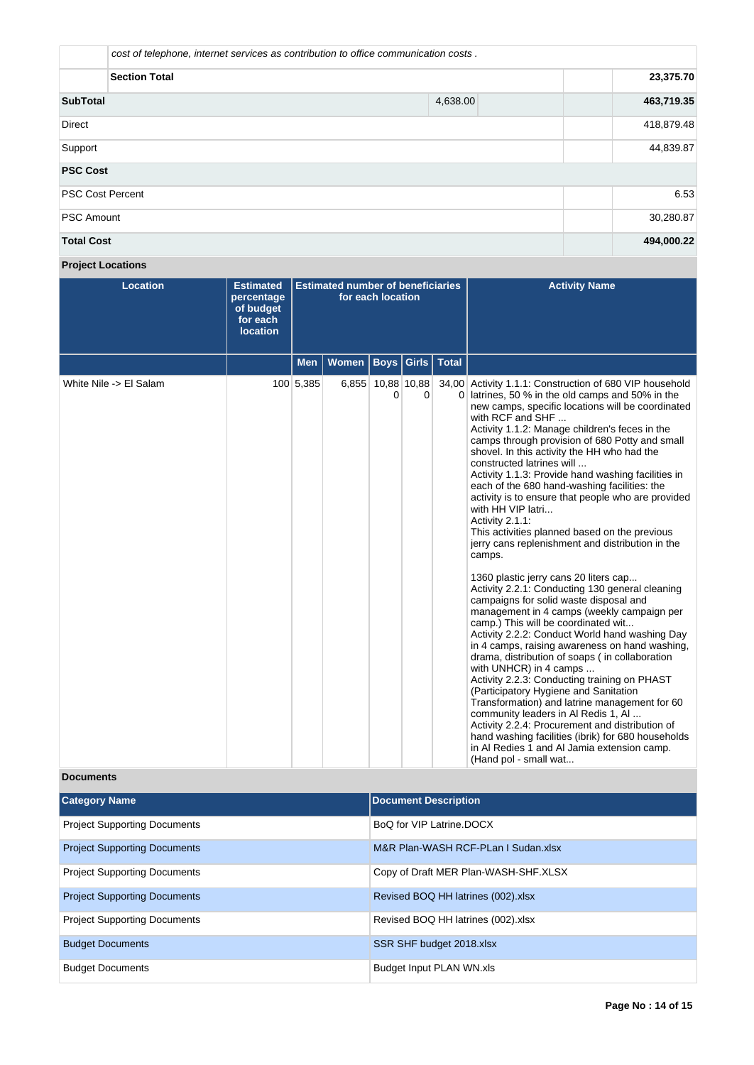|                                | cost of telephone, internet services as contribution to office communication costs. |            |  |  |  |  |  |
|--------------------------------|-------------------------------------------------------------------------------------|------------|--|--|--|--|--|
| <b>Section Total</b>           | 23,375.70                                                                           |            |  |  |  |  |  |
| <b>SubTotal</b>                | 463,719.35<br>4,638.00                                                              |            |  |  |  |  |  |
| Direct                         | 418,879.48                                                                          |            |  |  |  |  |  |
| Support                        |                                                                                     |            |  |  |  |  |  |
| <b>PSC Cost</b>                |                                                                                     |            |  |  |  |  |  |
| <b>PSC Cost Percent</b>        |                                                                                     | 6.53       |  |  |  |  |  |
| 30,280.87<br><b>PSC Amount</b> |                                                                                     |            |  |  |  |  |  |
| <b>Total Cost</b>              |                                                                                     | 494,000.22 |  |  |  |  |  |

# **Project Locations**

| <b>Location</b>        | <b>Estimated</b><br>percentage<br>of budget<br>for each<br><b>location</b> | <b>Estimated number of beneficiaries</b><br>for each location |       |                         |   |  | <b>Activity Name</b>                                                                                                                                                                                                                                                                                                                                                                                                                                                                                                                                                                                                                                                                                                                                                                                                                                                                                                                                                                                                                                                                                                                                                                                                                                                                                                                                                                                                                                                 |
|------------------------|----------------------------------------------------------------------------|---------------------------------------------------------------|-------|-------------------------|---|--|----------------------------------------------------------------------------------------------------------------------------------------------------------------------------------------------------------------------------------------------------------------------------------------------------------------------------------------------------------------------------------------------------------------------------------------------------------------------------------------------------------------------------------------------------------------------------------------------------------------------------------------------------------------------------------------------------------------------------------------------------------------------------------------------------------------------------------------------------------------------------------------------------------------------------------------------------------------------------------------------------------------------------------------------------------------------------------------------------------------------------------------------------------------------------------------------------------------------------------------------------------------------------------------------------------------------------------------------------------------------------------------------------------------------------------------------------------------------|
|                        |                                                                            | <b>Men</b>                                                    | Women | <b>Boys Girls Total</b> |   |  |                                                                                                                                                                                                                                                                                                                                                                                                                                                                                                                                                                                                                                                                                                                                                                                                                                                                                                                                                                                                                                                                                                                                                                                                                                                                                                                                                                                                                                                                      |
| White Nile -> El Salam |                                                                            | 100 5,385                                                     |       | 6,855 10,88 10,88<br>0  | 0 |  | 34,00 Activity 1.1.1: Construction of 680 VIP household<br>0 latrines, 50 % in the old camps and 50% in the<br>new camps, specific locations will be coordinated<br>with RCF and SHF<br>Activity 1.1.2: Manage children's feces in the<br>camps through provision of 680 Potty and small<br>shovel. In this activity the HH who had the<br>constructed latrines will<br>Activity 1.1.3: Provide hand washing facilities in<br>each of the 680 hand-washing facilities: the<br>activity is to ensure that people who are provided<br>with HH VIP latri<br>Activity 2.1.1:<br>This activities planned based on the previous<br>jerry cans replenishment and distribution in the<br>camps.<br>1360 plastic jerry cans 20 liters cap<br>Activity 2.2.1: Conducting 130 general cleaning<br>campaigns for solid waste disposal and<br>management in 4 camps (weekly campaign per<br>camp.) This will be coordinated wit<br>Activity 2.2.2: Conduct World hand washing Day<br>in 4 camps, raising awareness on hand washing,<br>drama, distribution of soaps (in collaboration<br>with UNHCR) in 4 camps<br>Activity 2.2.3: Conducting training on PHAST<br>(Participatory Hygiene and Sanitation<br>Transformation) and latrine management for 60<br>community leaders in Al Redis 1, Al<br>Activity 2.2.4: Procurement and distribution of<br>hand washing facilities (ibrik) for 680 households<br>in Al Redies 1 and Al Jamia extension camp.<br>(Hand pol - small wat |

## **Documents**

| <b>Category Name</b>                | <b>Document Description</b>          |
|-------------------------------------|--------------------------------------|
| <b>Project Supporting Documents</b> | BoQ for VIP Latrine.DOCX             |
| <b>Project Supporting Documents</b> | M&R Plan-WASH RCF-PLan I Sudan.xlsx  |
| <b>Project Supporting Documents</b> | Copy of Draft MER Plan-WASH-SHF.XLSX |
| <b>Project Supporting Documents</b> | Revised BOQ HH latrines (002).xlsx   |
| <b>Project Supporting Documents</b> | Revised BOQ HH latrines (002).xlsx   |
| <b>Budget Documents</b>             | SSR SHF budget 2018.xlsx             |
| <b>Budget Documents</b>             | Budget Input PLAN WN.xls             |